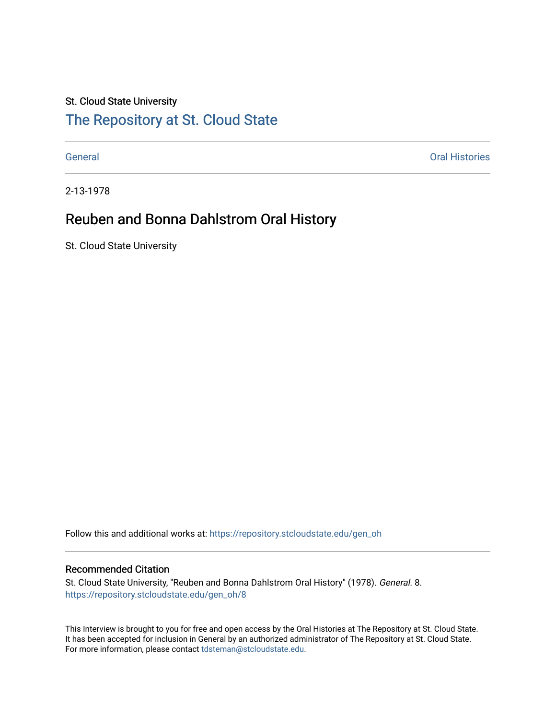# St. Cloud State University

# [The Repository at St. Cloud State](https://repository.stcloudstate.edu/)

[General](https://repository.stcloudstate.edu/gen_oh) [Oral Histories](https://repository.stcloudstate.edu/oh) 

2-13-1978

# Reuben and Bonna Dahlstrom Oral History

St. Cloud State University

Follow this and additional works at: [https://repository.stcloudstate.edu/gen\\_oh](https://repository.stcloudstate.edu/gen_oh?utm_source=repository.stcloudstate.edu%2Fgen_oh%2F8&utm_medium=PDF&utm_campaign=PDFCoverPages) 

# Recommended Citation

St. Cloud State University, "Reuben and Bonna Dahlstrom Oral History" (1978). General. 8. [https://repository.stcloudstate.edu/gen\\_oh/8](https://repository.stcloudstate.edu/gen_oh/8?utm_source=repository.stcloudstate.edu%2Fgen_oh%2F8&utm_medium=PDF&utm_campaign=PDFCoverPages) 

This Interview is brought to you for free and open access by the Oral Histories at The Repository at St. Cloud State. It has been accepted for inclusion in General by an authorized administrator of The Repository at St. Cloud State. For more information, please contact [tdsteman@stcloudstate.edu.](mailto:tdsteman@stcloudstate.edu)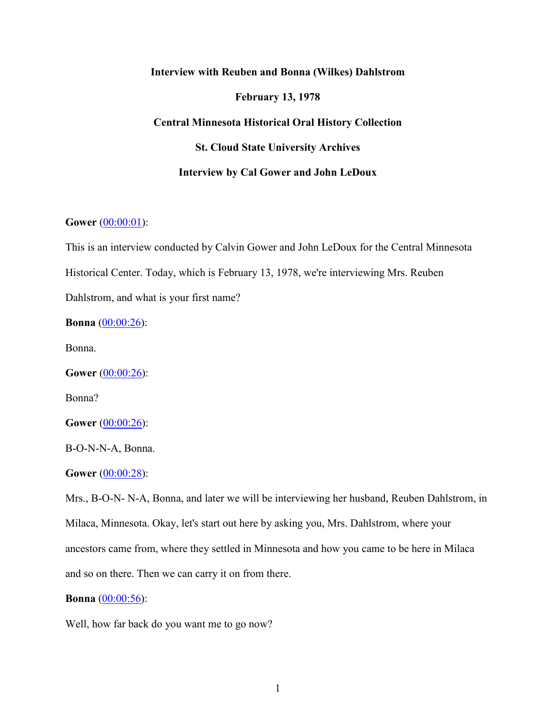# **Interview with Reuben and Bonna (Wilkes) Dahlstrom**

# **February 13, 1978**

# **Central Minnesota Historical Oral History Collection**

**St. Cloud State University Archives**

# **Interview by Cal Gower and John LeDoux**

# **Gower** (00:00:01):

This is an interview conducted by Calvin Gower and John LeDoux for the Central Minnesota Historical Center. Today, which is February 13, 1978, we're interviewing Mrs. Reuben Dahlstrom, and what is your first name?

**Bonna** (00:00:26):

Bonna.

**Gower** (00:00:26):

Bonna?

**Gower** (00:00:26):

B-O-N-N-A, Bonna.

**Gower** (00:00:28):

Mrs., B-O-N- N-A, Bonna, and later we will be interviewing her husband, Reuben Dahlstrom, in Milaca, Minnesota. Okay, let's start out here by asking you, Mrs. Dahlstrom, where your ancestors came from, where they settled in Minnesota and how you came to be here in Milaca and so on there. Then we can carry it on from there.

#### **Bonna** (00:00:56):

Well, how far back do you want me to go now?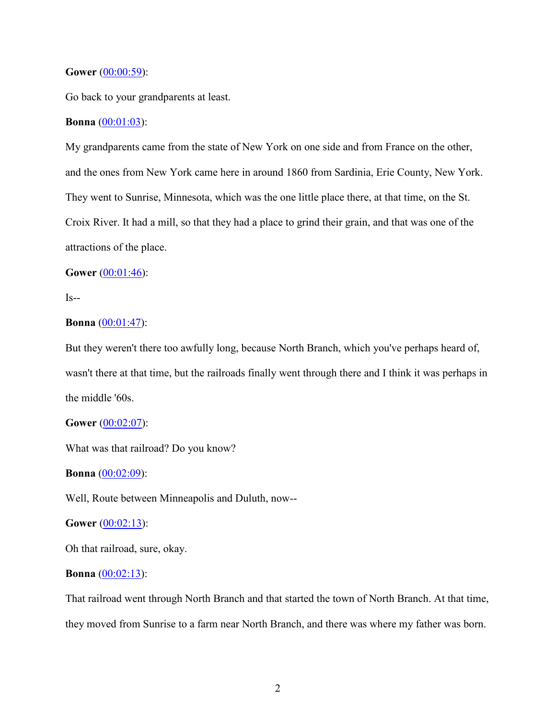# **Gower** (00:00:59):

Go back to your grandparents at least.

# **Bonna** (00:01:03):

My grandparents came from the state of New York on one side and from France on the other, and the ones from New York came here in around 1860 from Sardinia, Erie County, New York. They went to Sunrise, Minnesota, which was the one little place there, at that time, on the St. Croix River. It had a mill, so that they had a place to grind their grain, and that was one of the attractions of the place.

# **Gower** (00:01:46):

 $Is - -$ 

# **Bonna** (00:01:47):

But they weren't there too awfully long, because North Branch, which you've perhaps heard of, wasn't there at that time, but the railroads finally went through there and I think it was perhaps in the middle '60s.

# **Gower** (00:02:07):

What was that railroad? Do you know?

#### **Bonna** (00:02:09):

Well, Route between Minneapolis and Duluth, now--

#### **Gower** (00:02:13):

Oh that railroad, sure, okay.

# **Bonna** (00:02:13):

That railroad went through North Branch and that started the town of North Branch. At that time, they moved from Sunrise to a farm near North Branch, and there was where my father was born.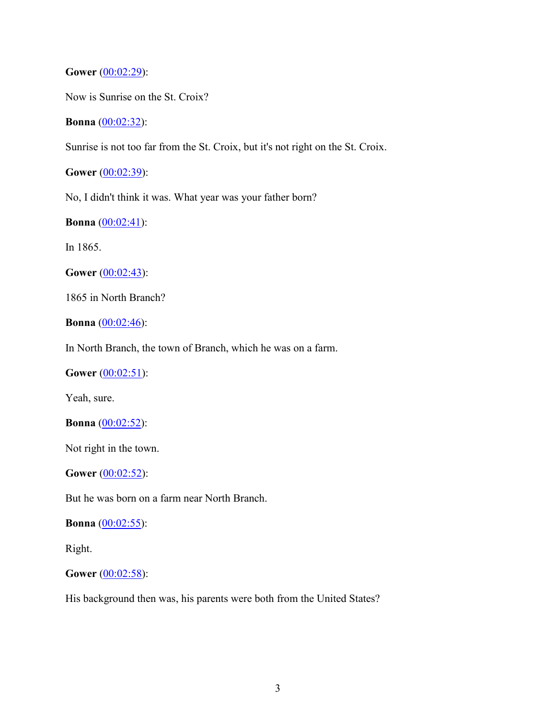**Gower** (00:02:29):

Now is Sunrise on the St. Croix?

# **Bonna** (00:02:32):

Sunrise is not too far from the St. Croix, but it's not right on the St. Croix.

**Gower** (00:02:39):

No, I didn't think it was. What year was your father born?

**Bonna** (00:02:41):

In 1865.

**Gower** (00:02:43):

1865 in North Branch?

**Bonna** (00:02:46):

In North Branch, the town of Branch, which he was on a farm.

**Gower** (00:02:51):

Yeah, sure.

**Bonna** (00:02:52):

Not right in the town.

**Gower** (00:02:52):

But he was born on a farm near North Branch.

**Bonna** (00:02:55):

Right.

**Gower** (00:02:58):

His background then was, his parents were both from the United States?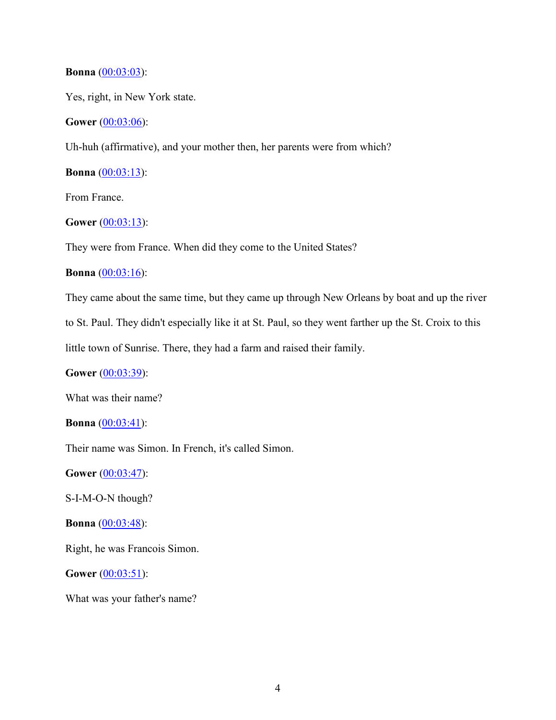# **Bonna** (00:03:03):

Yes, right, in New York state.

# **Gower** (00:03:06):

Uh-huh (affirmative), and your mother then, her parents were from which?

**Bonna**  $(00:03:13)$ :

From France.

# **Gower** (00:03:13):

They were from France. When did they come to the United States?

# **Bonna** (00:03:16):

They came about the same time, but they came up through New Orleans by boat and up the river

to St. Paul. They didn't especially like it at St. Paul, so they went farther up the St. Croix to this

little town of Sunrise. There, they had a farm and raised their family.

**Gower** [\(00:03:39\)](https://www.rev.com/transcript-editor/Edit?token=nKuiTG89EgLuB8SgzL9rCLLX0Z2pFSgSMqNWls__I3KGfTlwsbMzfa9rqmWt8zyyQmnB3OdOAj40YYVsGSiWBWk-Dd4&loadFrom=DocumentDeeplink&ts=219.83):

What was their name?

**Bonna** (00:03:41):

Their name was Simon. In French, it's called Simon.

**Gower** (00:03:47):

S-I-M-O-N though?

**Bonna** (00:03:48):

Right, he was Francois Simon.

**Gower** (00:03:51):

What was your father's name?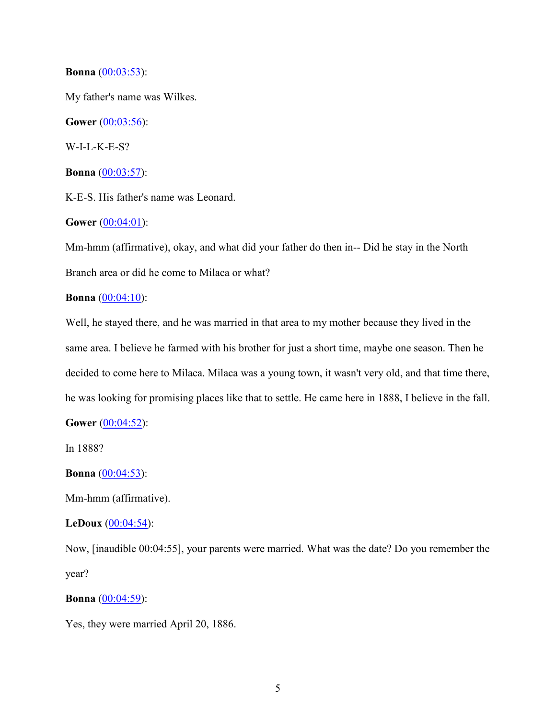## **Bonna** (00:03:53):

My father's name was Wilkes.

**Gower** (00:03:56):

W-I-L-K-E-S?

**Bonna** (00:03:57):

K-E-S. His father's name was Leonard.

**Gower** [\(00:04:01\)](https://www.rev.com/transcript-editor/Edit?token=wDl3iUs73HUxAYJ3Hn8vrkJDj1ABg-kowGv3vjahdGQZMFBe6VttR9PeuC1J00vDworWAcdZUbSAhLWSuU1AtZ2iFSA&loadFrom=DocumentDeeplink&ts=241.34):

Mm-hmm (affirmative), okay, and what did your father do then in-- Did he stay in the North Branch area or did he come to Milaca or what?

# **Bonna** (00:04:10):

Well, he stayed there, and he was married in that area to my mother because they lived in the same area. I believe he farmed with his brother for just a short time, maybe one season. Then he decided to come here to Milaca. Milaca was a young town, it wasn't very old, and that time there, he was looking for promising places like that to settle. He came here in 1888, I believe in the fall.

**Gower** (00:04:52):

In 1888?

### **Bonna** (00:04:53):

Mm-hmm (affirmative).

# **LeDoux** (00:04:54):

Now, [inaudible 00:04:55], your parents were married. What was the date? Do you remember the year?

**Bonna** (00:04:59):

Yes, they were married April 20, 1886.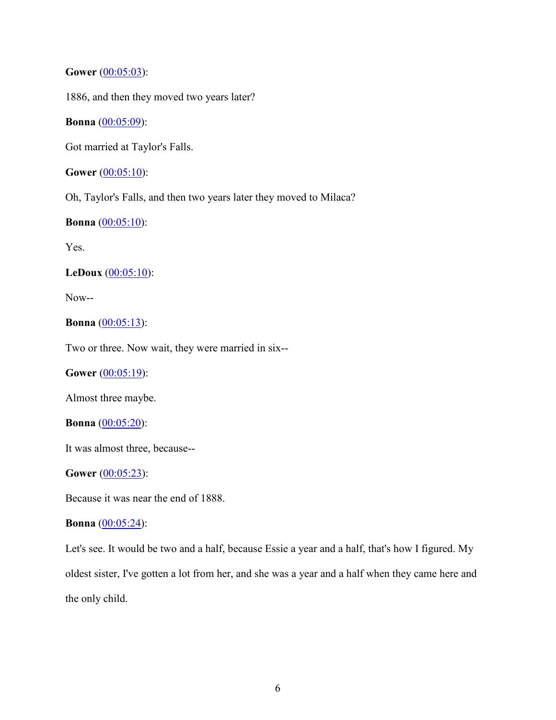# **Gower** (00:05:03):

1886, and then they moved two years later?

# **Bonna** (00:05:09):

Got married at Taylor's Falls.

**Gower** (00:05:10):

Oh, Taylor's Falls, and then two years later they moved to Milaca?

# **Bonna** (00:05:10):

Yes.

# **LeDoux** (00:05:10):

Now--

# **Bonna** (00:05:13):

Two or three. Now wait, they were married in six--

**Gower** (00:05:19):

Almost three maybe.

# **Bonna** (00:05:20):

It was almost three, because--

# **Gower** (00:05:23):

Because it was near the end of 1888.

# **Bonna** (00:05:24):

Let's see. It would be two and a half, because Essie a year and a half, that's how I figured. My oldest sister, I've gotten a lot from her, and she was a year and a half when they came here and the only child.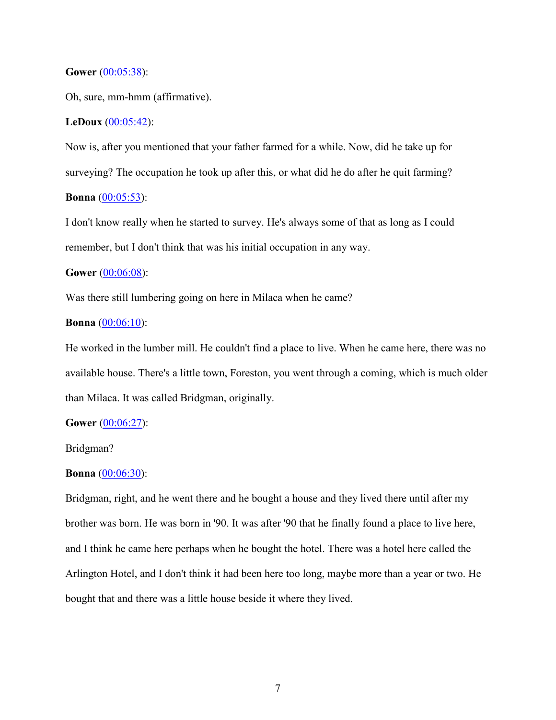#### **Gower** (00:05:38):

Oh, sure, mm-hmm (affirmative).

# **LeDoux** (00:05:42):

Now is, after you mentioned that your father farmed for a while. Now, did he take up for surveying? The occupation he took up after this, or what did he do after he quit farming? **Bonna** (00:05:53):

I don't know really when he started to survey. He's always some of that as long as I could remember, but I don't think that was his initial occupation in any way.

# **Gower** (00:06:08):

Was there still lumbering going on here in Milaca when he came?

# **Bonna** (00:06:10):

He worked in the lumber mill. He couldn't find a place to live. When he came here, there was no available house. There's a little town, Foreston, you went through a coming, which is much older than Milaca. It was called Bridgman, originally.

# **Gower** (00:06:27):

#### Bridgman?

### **Bonna** (00:06:30):

Bridgman, right, and he went there and he bought a house and they lived there until after my brother was born. He was born in '90. It was after '90 that he finally found a place to live here, and I think he came here perhaps when he bought the hotel. There was a hotel here called the Arlington Hotel, and I don't think it had been here too long, maybe more than a year or two. He bought that and there was a little house beside it where they lived.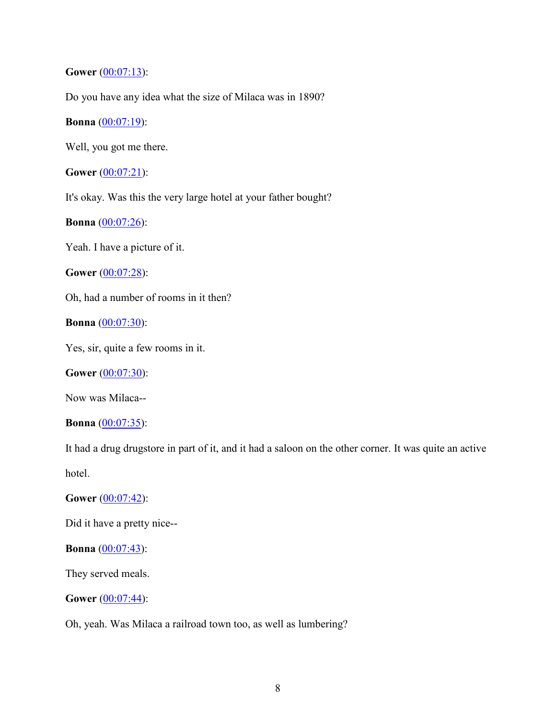**Gower** (00:07:13):

Do you have any idea what the size of Milaca was in 1890?

**Bonna** (00:07:19):

Well, you got me there.

**Gower** (00:07:21):

It's okay. Was this the very large hotel at your father bought?

**Bonna** (00:07:26):

Yeah. I have a picture of it.

**Gower** (00:07:28):

Oh, had a number of rooms in it then?

**Bonna** (00:07:30):

Yes, sir, quite a few rooms in it.

**Gower** (00:07:30):

Now was Milaca--

**Bonna** (00:07:35):

It had a drug drugstore in part of it, and it had a saloon on the other corner. It was quite an active hotel.

**Gower** (00:07:42):

Did it have a pretty nice--

**Bonna** (00:07:43):

They served meals.

**Gower** (00:07:44):

Oh, yeah. Was Milaca a railroad town too, as well as lumbering?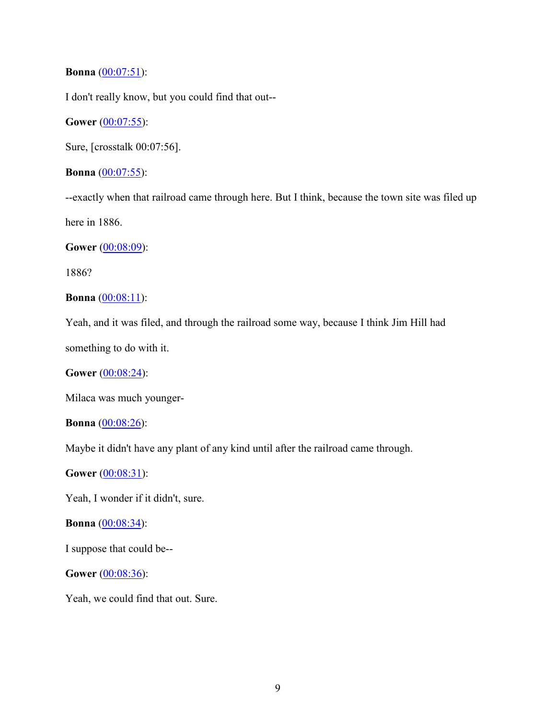# **Bonna** (00:07:51):

I don't really know, but you could find that out--

**Gower** (00:07:55):

Sure, [crosstalk 00:07:56].

**Bonna** (00:07:55):

--exactly when that railroad came through here. But I think, because the town site was filed up here in 1886.

**Gower** (00:08:09):

1886?

**Bonna** (00:08:11):

Yeah, and it was filed, and through the railroad some way, because I think Jim Hill had

something to do with it.

**Gower** (00:08:24):

Milaca was much younger-

**Bonna** (00:08:26):

Maybe it didn't have any plant of any kind until after the railroad came through.

**Gower** (00:08:31):

Yeah, I wonder if it didn't, sure.

**Bonna** (00:08:34):

I suppose that could be--

**Gower** (00:08:36):

Yeah, we could find that out. Sure.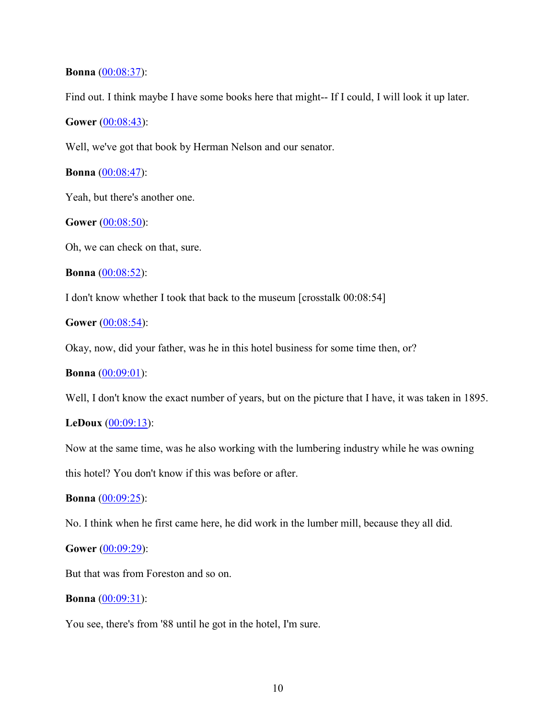### **Bonna** (00:08:37):

Find out. I think maybe I have some books here that might-- If I could, I will look it up later.

**Gower** (00:08:43):

Well, we've got that book by Herman Nelson and our senator.

**Bonna** (00:08:47):

Yeah, but there's another one.

**Gower** (00:08:50):

Oh, we can check on that, sure.

**Bonna** (00:08:52):

I don't know whether I took that back to the museum [crosstalk 00:08:54]

**Gower** (00:08:54):

Okay, now, did your father, was he in this hotel business for some time then, or?

**Bonna** (00:09:01):

Well, I don't know the exact number of years, but on the picture that I have, it was taken in 1895.

# **LeDoux** (00:09:13):

Now at the same time, was he also working with the lumbering industry while he was owning

this hotel? You don't know if this was before or after.

#### **Bonna** (00:09:25):

No. I think when he first came here, he did work in the lumber mill, because they all did.

**Gower** (00:09:29):

But that was from Foreston and so on.

**Bonna** (00:09:31):

You see, there's from '88 until he got in the hotel, I'm sure.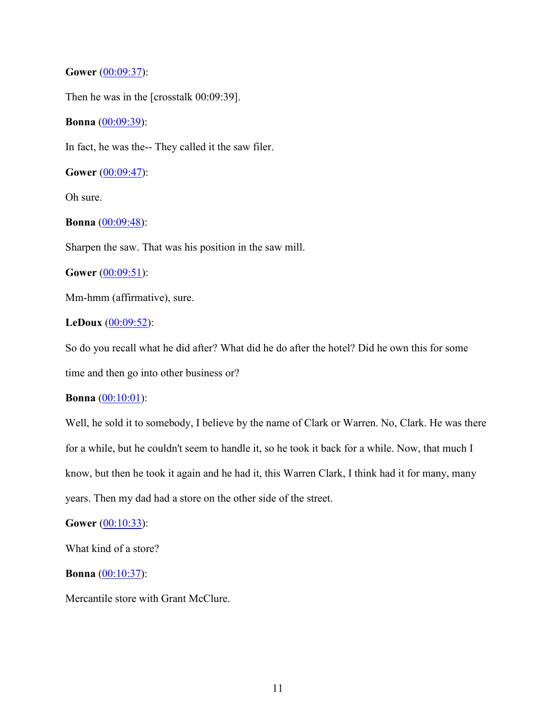**Gower** (00:09:37):

Then he was in the [crosstalk 00:09:39].

**Bonna** (00:09:39):

In fact, he was the-- They called it the saw filer.

**Gower** (00:09:47):

Oh sure.

**Bonna** (00:09:48):

Sharpen the saw. That was his position in the saw mill.

**Gower** (00:09:51):

Mm-hmm (affirmative), sure.

# **LeDoux** (00:09:52):

So do you recall what he did after? What did he do after the hotel? Did he own this for some time and then go into other business or?

#### **Bonna** (00:10:01):

Well, he sold it to somebody, I believe by the name of Clark or Warren. No, Clark. He was there for a while, but he couldn't seem to handle it, so he took it back for a while. Now, that much I know, but then he took it again and he had it, this Warren Clark, I think had it for many, many years. Then my dad had a store on the other side of the street.

#### **Gower** (00:10:33):

What kind of a store?

**Bonna** (00:10:37):

Mercantile store with Grant McClure.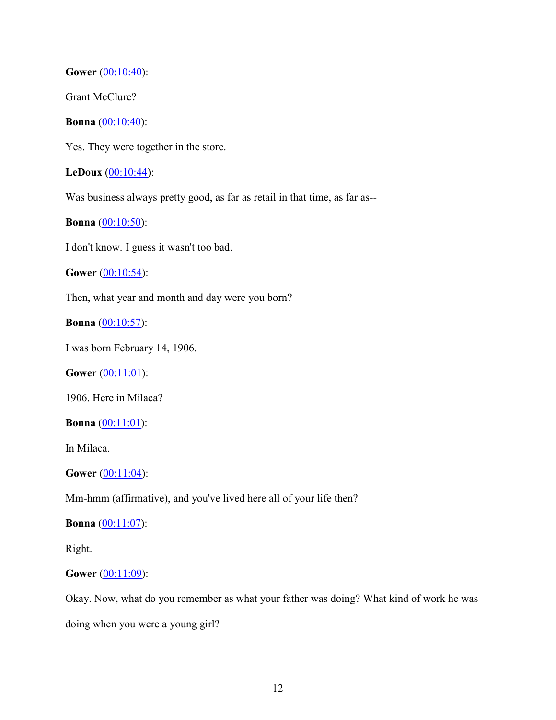**Gower** (00:10:40):

Grant McClure?

**Bonna** (00:10:40):

Yes. They were together in the store.

**LeDoux** (00:10:44):

Was business always pretty good, as far as retail in that time, as far as--

**Bonna** (00:10:50):

I don't know. I guess it wasn't too bad.

**Gower** (00:10:54):

Then, what year and month and day were you born?

**Bonna** (00:10:57):

I was born February 14, 1906.

**Gower** (00:11:01):

1906. Here in Milaca?

**Bonna** (00:11:01):

In Milaca.

**Gower** (00:11:04):

Mm-hmm (affirmative), and you've lived here all of your life then?

**Bonna** (00:11:07):

Right.

# **Gower** (00:11:09):

Okay. Now, what do you remember as what your father was doing? What kind of work he was doing when you were a young girl?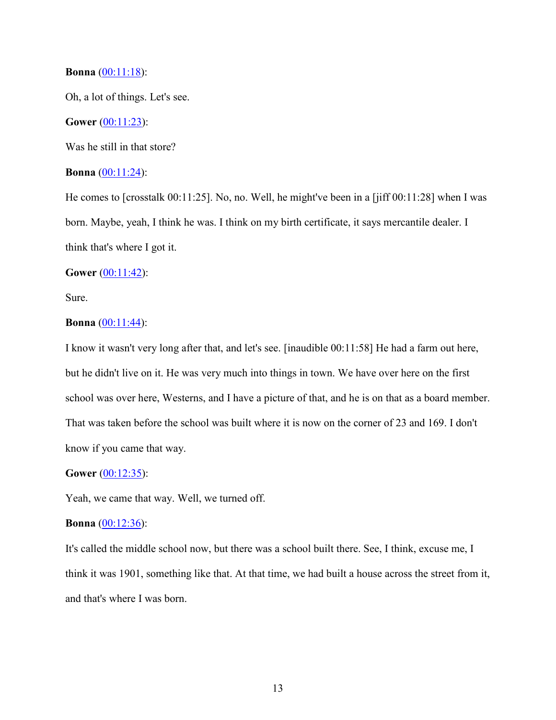## **Bonna** (00:11:18):

Oh, a lot of things. Let's see.

#### **Gower** (00:11:23):

Was he still in that store?

# **Bonna** (00:11:24):

He comes to [crosstalk 00:11:25]. No, no. Well, he might've been in a [jiff 00:11:28] when I was born. Maybe, yeah, I think he was. I think on my birth certificate, it says mercantile dealer. I think that's where I got it.

# **Gower** (00:11:42):

Sure.

# **Bonna** (00:11:44):

I know it wasn't very long after that, and let's see. [inaudible 00:11:58] He had a farm out here, but he didn't live on it. He was very much into things in town. We have over here on the first school was over here, Westerns, and I have a picture of that, and he is on that as a board member. That was taken before the school was built where it is now on the corner of 23 and 169. I don't know if you came that way.

#### **Gower** (00:12:35):

Yeah, we came that way. Well, we turned off.

#### **Bonna** (00:12:36):

It's called the middle school now, but there was a school built there. See, I think, excuse me, I think it was 1901, something like that. At that time, we had built a house across the street from it, and that's where I was born.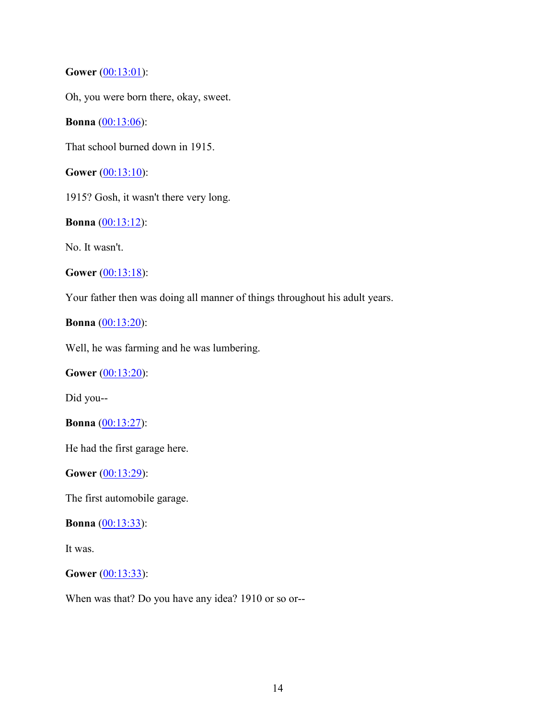**Gower** (00:13:01):

Oh, you were born there, okay, sweet.

**Bonna** (00:13:06):

That school burned down in 1915.

**Gower** (00:13:10):

1915? Gosh, it wasn't there very long.

**Bonna** (00:13:12):

No. It wasn't.

**Gower** (00:13:18):

Your father then was doing all manner of things throughout his adult years.

**Bonna** (00:13:20):

Well, he was farming and he was lumbering.

**Gower** (00:13:20):

Did you--

**Bonna** (00:13:27):

He had the first garage here.

**Gower** (00:13:29):

The first automobile garage.

**Bonna** (00:13:33):

It was.

**Gower** (00:13:33):

When was that? Do you have any idea? 1910 or so or--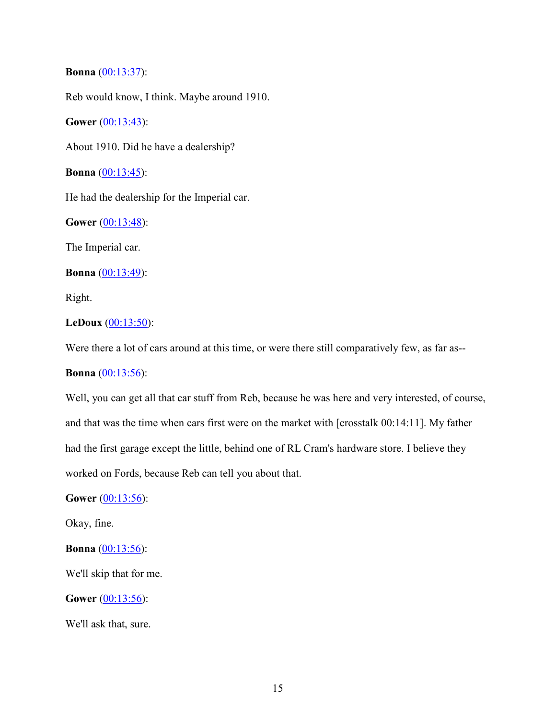# **Bonna** (00:13:37):

Reb would know, I think. Maybe around 1910.

**Gower** (00:13:43):

About 1910. Did he have a dealership?

**Bonna** (00:13:45):

He had the dealership for the Imperial car.

**Gower** (00:13:48):

The Imperial car.

**Bonna** (00:13:49):

Right.

# **LeDoux** (00:13:50):

Were there a lot of cars around at this time, or were there still comparatively few, as far as--

**Bonna** (00:13:56):

Well, you can get all that car stuff from Reb, because he was here and very interested, of course, and that was the time when cars first were on the market with [crosstalk 00:14:11]. My father had the first garage except the little, behind one of RL Cram's hardware store. I believe they worked on Fords, because Reb can tell you about that.

**Gower** (00:13:56):

Okay, fine.

**Bonna** (00:13:56):

We'll skip that for me.

**Gower** (00:13:56):

We'll ask that, sure.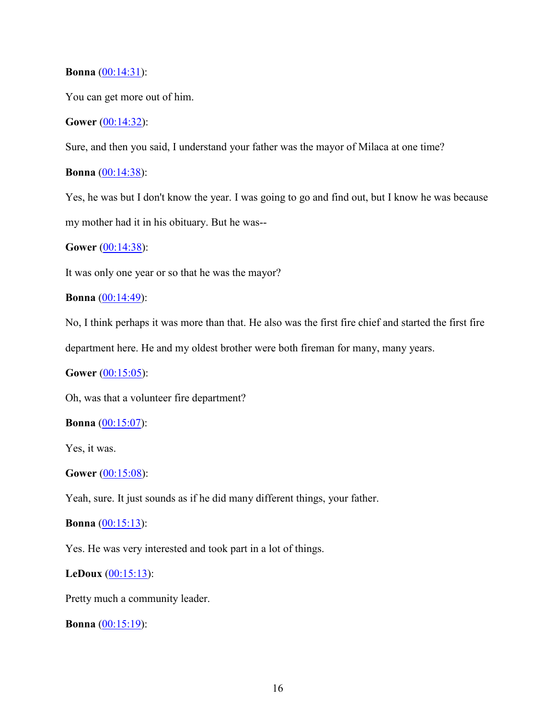# **Bonna** (00:14:31):

You can get more out of him.

# **Gower** (00:14:32):

Sure, and then you said, I understand your father was the mayor of Milaca at one time?

# **Bonna** (00:14:38):

Yes, he was but I don't know the year. I was going to go and find out, but I know he was because my mother had it in his obituary. But he was--

# **Gower** (00:14:38):

It was only one year or so that he was the mayor?

# **Bonna** (00:14:49):

No, I think perhaps it was more than that. He also was the first fire chief and started the first fire

department here. He and my oldest brother were both fireman for many, many years.

# **Gower** (00:15:05):

Oh, was that a volunteer fire department?

# **Bonna** (00:15:07):

Yes, it was.

#### **Gower** (00:15:08):

Yeah, sure. It just sounds as if he did many different things, your father.

# **Bonna** (00:15:13):

Yes. He was very interested and took part in a lot of things.

# **LeDoux** (00:15:13):

Pretty much a community leader.

**Bonna** (00:15:19):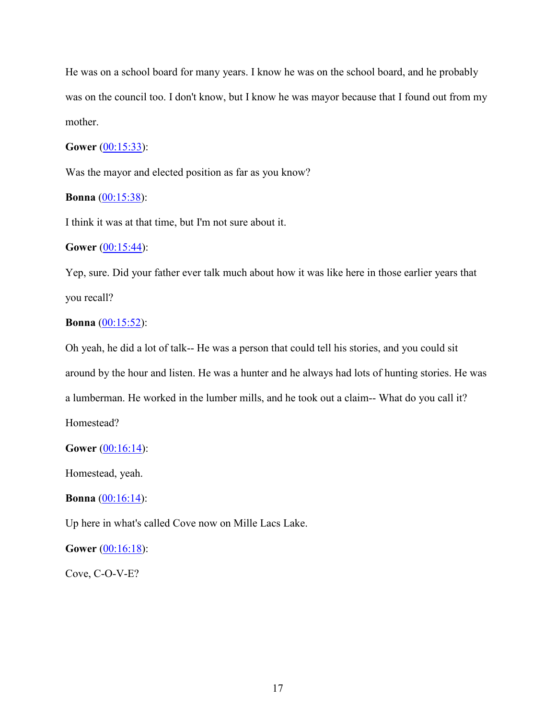He was on a school board for many years. I know he was on the school board, and he probably was on the council too. I don't know, but I know he was mayor because that I found out from my mother.

# **Gower** (00:15:33):

Was the mayor and elected position as far as you know?

# **Bonna** (00:15:38):

I think it was at that time, but I'm not sure about it.

# **Gower** (00:15:44):

Yep, sure. Did your father ever talk much about how it was like here in those earlier years that you recall?

# **Bonna** (00:15:52):

Oh yeah, he did a lot of talk-- He was a person that could tell his stories, and you could sit around by the hour and listen. He was a hunter and he always had lots of hunting stories. He was a lumberman. He worked in the lumber mills, and he took out a claim-- What do you call it? Homestead?

#### **Gower** (00:16:14):

Homestead, yeah.

**Bonna** (00:16:14):

Up here in what's called Cove now on Mille Lacs Lake.

# **Gower** (00:16:18):

Cove, C-O-V-E?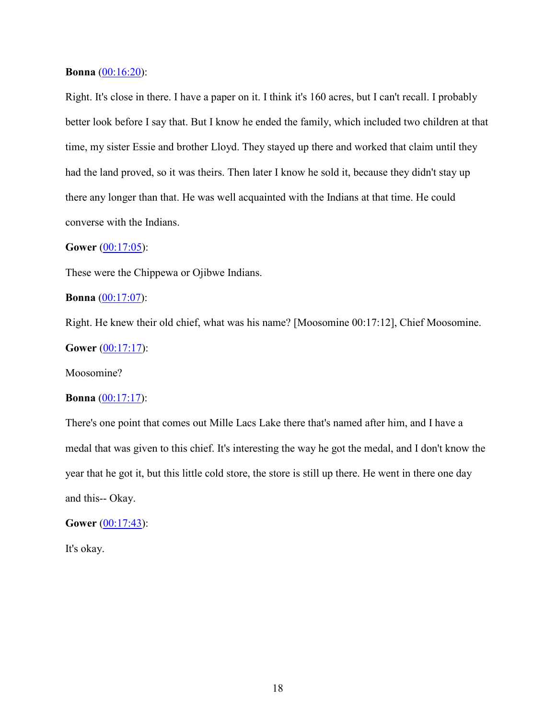### **Bonna** (00:16:20):

Right. It's close in there. I have a paper on it. I think it's 160 acres, but I can't recall. I probably better look before I say that. But I know he ended the family, which included two children at that time, my sister Essie and brother Lloyd. They stayed up there and worked that claim until they had the land proved, so it was theirs. Then later I know he sold it, because they didn't stay up there any longer than that. He was well acquainted with the Indians at that time. He could converse with the Indians.

# **Gower** (00:17:05):

These were the Chippewa or Ojibwe Indians.

#### **Bonna** (00:17:07):

Right. He knew their old chief, what was his name? [Moosomine 00:17:12], Chief Moosomine.

# **Gower** (00:17:17):

Moosomine?

#### **Bonna** (00:17:17):

There's one point that comes out Mille Lacs Lake there that's named after him, and I have a medal that was given to this chief. It's interesting the way he got the medal, and I don't know the year that he got it, but this little cold store, the store is still up there. He went in there one day and this-- Okay.

# **Gower** (00:17:43):

It's okay.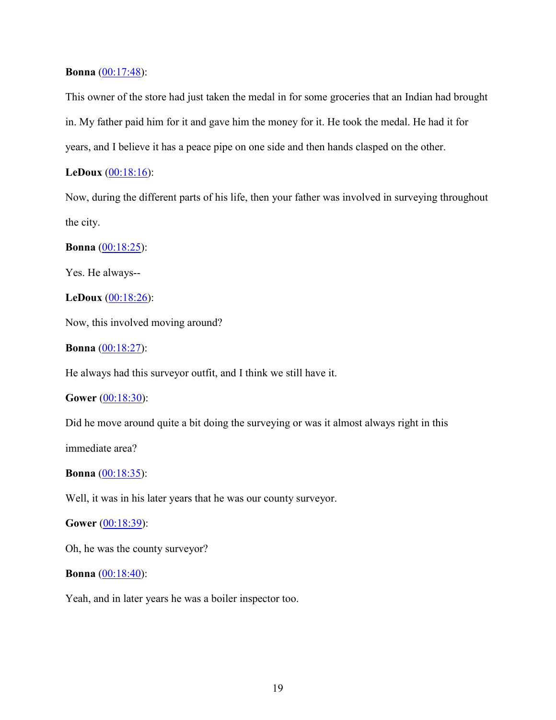# **Bonna** (00:17:48):

This owner of the store had just taken the medal in for some groceries that an Indian had brought in. My father paid him for it and gave him the money for it. He took the medal. He had it for years, and I believe it has a peace pipe on one side and then hands clasped on the other.

# **LeDoux** (00:18:16):

Now, during the different parts of his life, then your father was involved in surveying throughout the city.

# **Bonna** (00:18:25):

Yes. He always--

# **LeDoux** (00:18:26):

Now, this involved moving around?

**Bonna** (00:18:27):

He always had this surveyor outfit, and I think we still have it.

# **Gower** (00:18:30):

Did he move around quite a bit doing the surveying or was it almost always right in this

immediate area?

### **Bonna** (00:18:35):

Well, it was in his later years that he was our county surveyor.

# **Gower** (00:18:39):

Oh, he was the county surveyor?

#### **Bonna** (00:18:40):

Yeah, and in later years he was a boiler inspector too.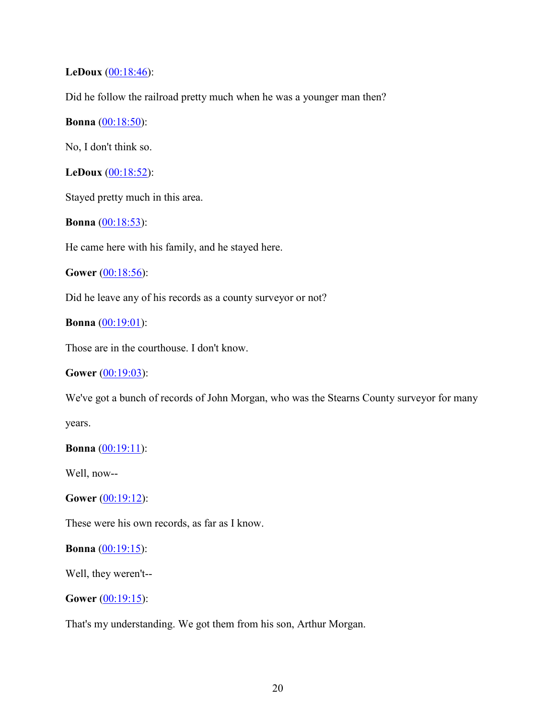# **LeDoux** (00:18:46):

Did he follow the railroad pretty much when he was a younger man then?

# **Bonna** (00:18:50):

No, I don't think so.

**LeDoux** (00:18:52):

Stayed pretty much in this area.

**Bonna** (00:18:53):

He came here with his family, and he stayed here.

**Gower** (00:18:56):

Did he leave any of his records as a county surveyor or not?

# **Bonna** (00:19:01):

Those are in the courthouse. I don't know.

# **Gower** (00:19:03):

We've got a bunch of records of John Morgan, who was the Stearns County surveyor for many

years.

# **Bonna** (00:19:11):

Well, now--

**Gower** (00:19:12):

These were his own records, as far as I know.

# **Bonna** (00:19:15):

Well, they weren't--

**Gower** (00:19:15):

That's my understanding. We got them from his son, Arthur Morgan.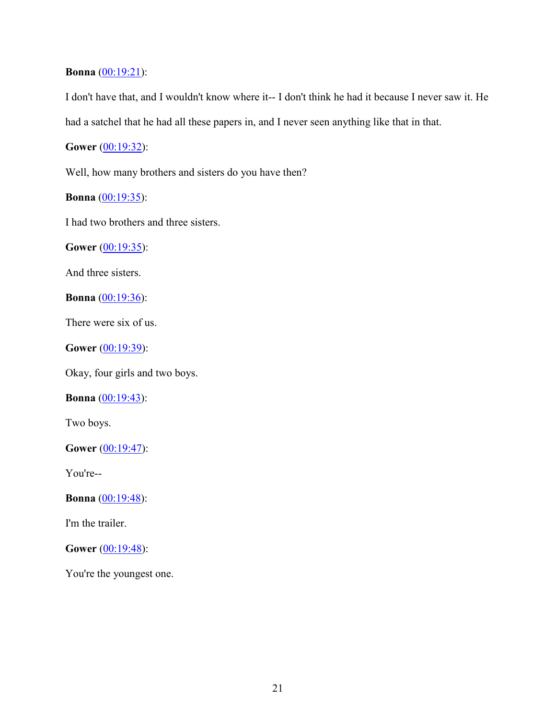# **Bonna** (00:19:21):

I don't have that, and I wouldn't know where it-- I don't think he had it because I never saw it. He had a satchel that he had all these papers in, and I never seen anything like that in that.

**Gower** (00:19:32):

Well, how many brothers and sisters do you have then?

**Bonna** (00:19:35):

I had two brothers and three sisters.

**Gower** (00:19:35):

And three sisters.

**Bonna** (00:19:36):

There were six of us.

**Gower** (00:19:39):

Okay, four girls and two boys.

**Bonna** (00:19:43):

Two boys.

**Gower** (00:19:47):

You're--

**Bonna** (00:19:48):

I'm the trailer.

**Gower** (00:19:48):

You're the youngest one.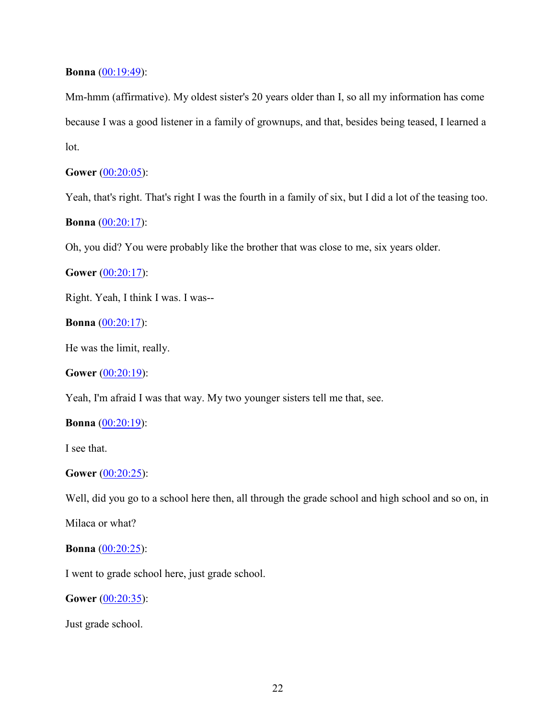# **Bonna** (00:19:49):

Mm-hmm (affirmative). My oldest sister's 20 years older than I, so all my information has come because I was a good listener in a family of grownups, and that, besides being teased, I learned a lot.

# **Gower** (00:20:05):

Yeah, that's right. That's right I was the fourth in a family of six, but I did a lot of the teasing too.

# **Bonna** (00:20:17):

Oh, you did? You were probably like the brother that was close to me, six years older.

**Gower** (00:20:17):

Right. Yeah, I think I was. I was--

**Bonna** (00:20:17):

He was the limit, really.

**Gower** (00:20:19):

Yeah, I'm afraid I was that way. My two younger sisters tell me that, see.

#### **Bonna** (00:20:19):

I see that.

#### **Gower** (00:20:25):

Well, did you go to a school here then, all through the grade school and high school and so on, in

Milaca or what?

# **Bonna** (00:20:25):

I went to grade school here, just grade school.

**Gower** (00:20:35):

Just grade school.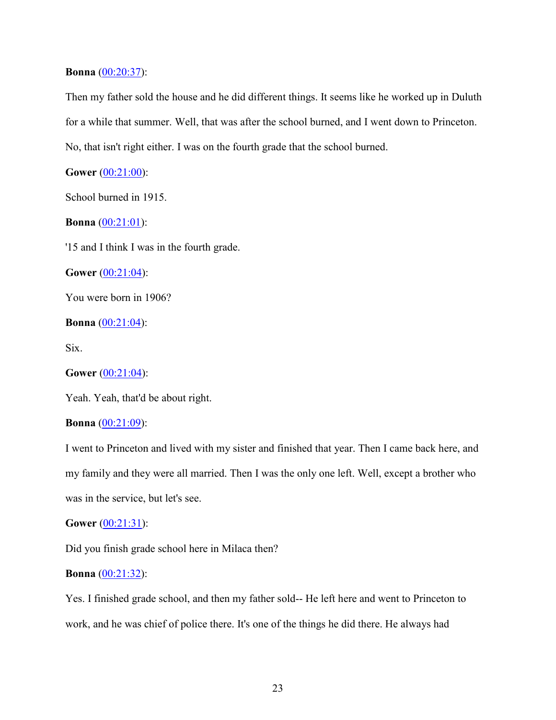### **Bonna** (00:20:37):

Then my father sold the house and he did different things. It seems like he worked up in Duluth for a while that summer. Well, that was after the school burned, and I went down to Princeton. No, that isn't right either. I was on the fourth grade that the school burned.

**Gower** (00:21:00):

School burned in 1915.

**Bonna** (00:21:01):

'15 and I think I was in the fourth grade.

**Gower** (00:21:04):

You were born in 1906?

**Bonna** (00:21:04):

Six.

**Gower** (00:21:04):

Yeah. Yeah, that'd be about right.

# **Bonna** [\(00:21:09\)](https://www.rev.com/transcript-editor/Edit?token=HCeeUg2EZXafrbTGSVgYvVtKBhiDrEjriziJD-lBMJHMH5MnYdMw2onPUR_bWVIqnbtSUO52p88TSwcwAxe52ArQ96o&loadFrom=DocumentDeeplink&ts=1269.68):

I went to Princeton and lived with my sister and finished that year. Then I came back here, and my family and they were all married. Then I was the only one left. Well, except a brother who was in the service, but let's see.

#### **Gower** (00:21:31):

Did you finish grade school here in Milaca then?

# **Bonna** (00:21:32):

Yes. I finished grade school, and then my father sold-- He left here and went to Princeton to work, and he was chief of police there. It's one of the things he did there. He always had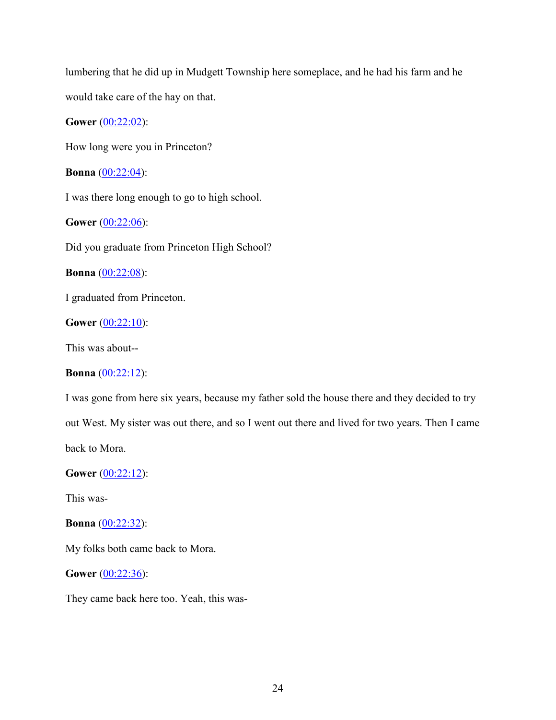lumbering that he did up in Mudgett Township here someplace, and he had his farm and he would take care of the hay on that.

**Gower** (00:22:02):

How long were you in Princeton?

**Bonna** (00:22:04):

I was there long enough to go to high school.

**Gower** (00:22:06):

Did you graduate from Princeton High School?

**Bonna** (00:22:08):

I graduated from Princeton.

**Gower** (00:22:10):

This was about--

# **Bonna** (00:22:12):

I was gone from here six years, because my father sold the house there and they decided to try out West. My sister was out there, and so I went out there and lived for two years. Then I came back to Mora.

**Gower** (00:22:12):

This was-

**Bonna** (00:22:32):

My folks both came back to Mora.

**Gower** (00:22:36):

They came back here too. Yeah, this was-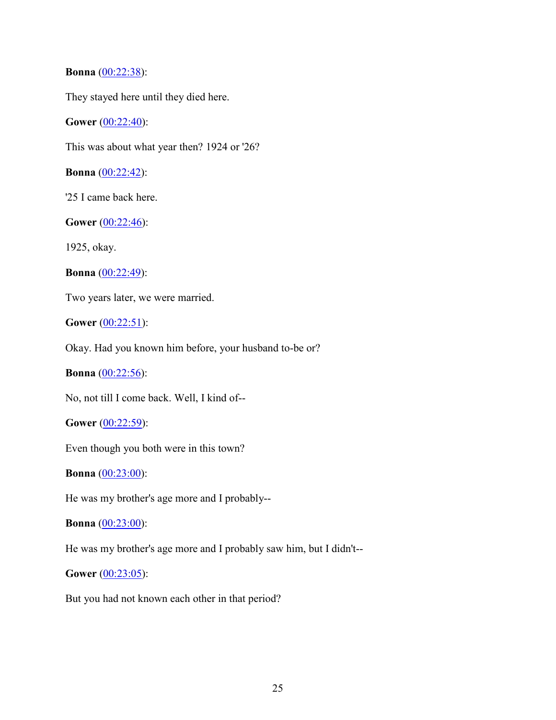# **Bonna** (00:22:38):

They stayed here until they died here.

# **Gower** (00:22:40):

This was about what year then? 1924 or '26?

**Bonna** (00:22:42):

'25 I came back here.

**Gower** (00:22:46):

1925, okay.

**Bonna** (00:22:49):

Two years later, we were married.

**Gower** (00:22:51):

Okay. Had you known him before, your husband to-be or?

**Bonna** (00:22:56):

No, not till I come back. Well, I kind of--

**Gower** (00:22:59):

Even though you both were in this town?

**Bonna** (00:23:00):

He was my brother's age more and I probably--

# **Bonna** (00:23:00):

He was my brother's age more and I probably saw him, but I didn't--

**Gower** (00:23:05):

But you had not known each other in that period?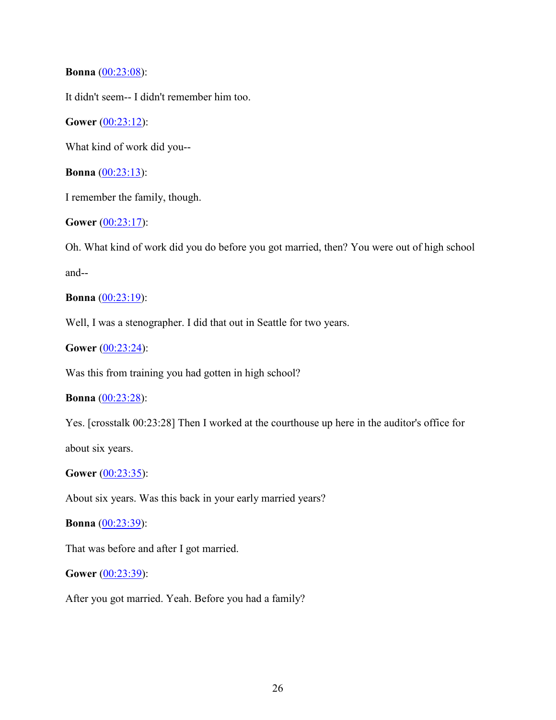**Bonna** (00:23:08):

It didn't seem-- I didn't remember him too.

**Gower** (00:23:12):

What kind of work did you--

**Bonna** (00:23:13):

I remember the family, though.

**Gower** (00:23:17):

Oh. What kind of work did you do before you got married, then? You were out of high school and--

**Bonna** (00:23:19):

Well, I was a stenographer. I did that out in Seattle for two years.

**Gower** (00:23:24):

Was this from training you had gotten in high school?

**Bonna** (00:23:28):

Yes. [crosstalk 00:23:28] Then I worked at the courthouse up here in the auditor's office for

about six years.

**Gower** (00:23:35):

About six years. Was this back in your early married years?

**Bonna** (00:23:39):

That was before and after I got married.

**Gower** (00:23:39):

After you got married. Yeah. Before you had a family?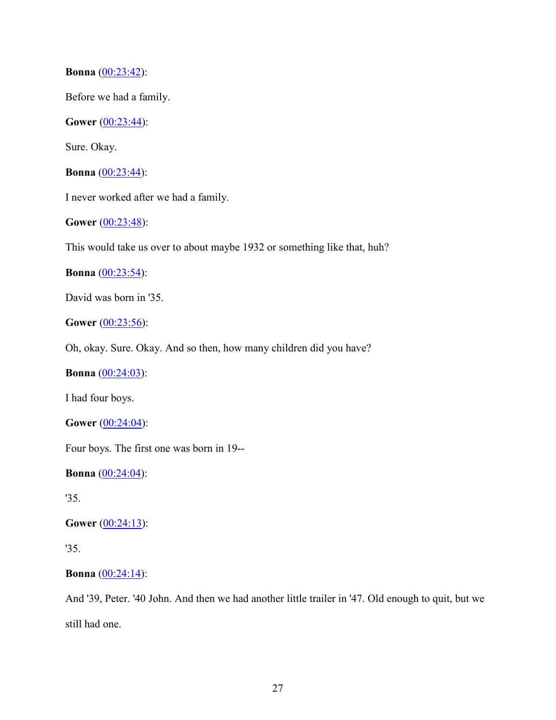**Bonna** (00:23:42):

Before we had a family.

**Gower** (00:23:44):

Sure. Okay.

**Bonna** (00:23:44):

I never worked after we had a family.

**Gower** (00:23:48):

This would take us over to about maybe 1932 or something like that, huh?

**Bonna** (00:23:54):

David was born in '35.

**Gower** (00:23:56):

Oh, okay. Sure. Okay. And so then, how many children did you have?

**Bonna** (00:24:03):

I had four boys.

**Gower** (00:24:04):

Four boys. The first one was born in 19--

**Bonna** (00:24:04):

'35.

**Gower** (00:24:13):

'35.

**Bonna** (00:24:14):

And '39, Peter. '40 John. And then we had another little trailer in '47. Old enough to quit, but we still had one.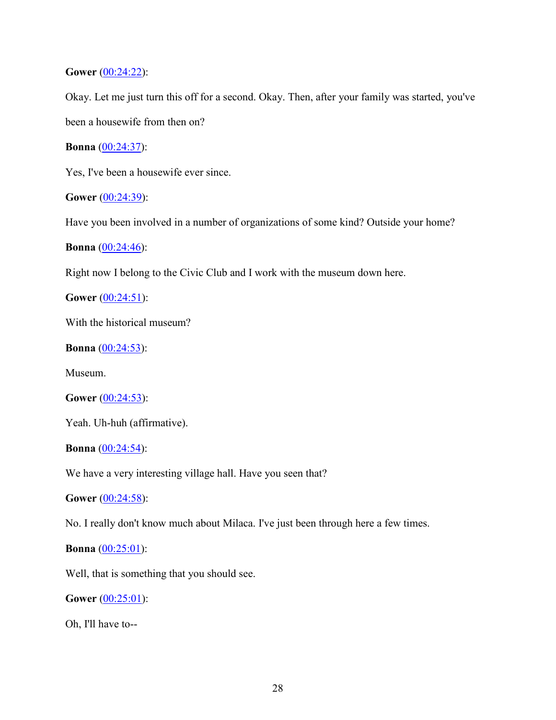**Gower** (00:24:22):

Okay. Let me just turn this off for a second. Okay. Then, after your family was started, you've been a housewife from then on?

**Bonna** (00:24:37):

Yes, I've been a housewife ever since.

**Gower** (00:24:39):

Have you been involved in a number of organizations of some kind? Outside your home?

**Bonna** (00:24:46):

Right now I belong to the Civic Club and I work with the museum down here.

**Gower** (00:24:51):

With the historical museum?

**Bonna**  $(00:24:53)$ :

Museum.

```
Gower (00:24:53):
```
Yeah. Uh-huh (affirmative).

**Bonna** (00:24:54):

We have a very interesting village hall. Have you seen that?

**Gower** (00:24:58):

No. I really don't know much about Milaca. I've just been through here a few times.

# **Bonna** (00:25:01):

Well, that is something that you should see.

**Gower** (00:25:01):

Oh, I'll have to--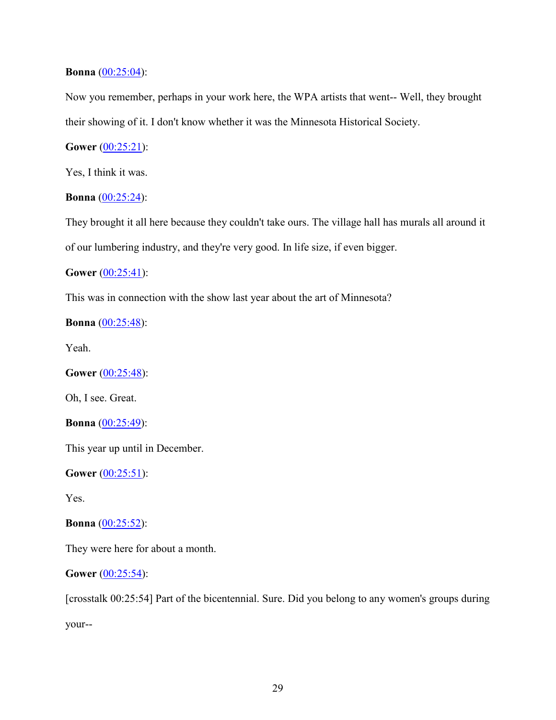# **Bonna** (00:25:04):

Now you remember, perhaps in your work here, the WPA artists that went-- Well, they brought their showing of it. I don't know whether it was the Minnesota Historical Society.

# **Gower** (00:25:21):

Yes, I think it was.

# **Bonna** (00:25:24):

They brought it all here because they couldn't take ours. The village hall has murals all around it of our lumbering industry, and they're very good. In life size, if even bigger.

# **Gower** (00:25:41):

This was in connection with the show last year about the art of Minnesota?

# **Bonna** (00:25:48):

Yeah.

**Gower** (00:25:48):

Oh, I see. Great.

**Bonna** (00:25:49):

This year up until in December.

**Gower** (00:25:51):

Yes.

#### **Bonna** (00:25:52):

They were here for about a month.

# **Gower** (00:25:54):

[crosstalk 00:25:54] Part of the bicentennial. Sure. Did you belong to any women's groups during your--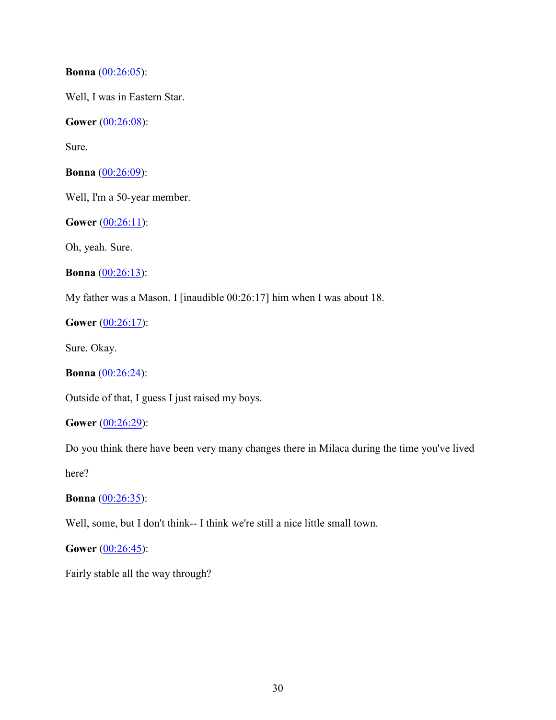**Bonna** (00:26:05):

Well, I was in Eastern Star.

**Gower** (00:26:08):

Sure.

**Bonna** (00:26:09):

Well, I'm a 50-year member.

**Gower** (00:26:11):

Oh, yeah. Sure.

**Bonna** (00:26:13):

My father was a Mason. I [inaudible 00:26:17] him when I was about 18.

**Gower** (00:26:17):

Sure. Okay.

**Bonna** (00:26:24):

Outside of that, I guess I just raised my boys.

**Gower** (00:26:29):

Do you think there have been very many changes there in Milaca during the time you've lived

here?

**Bonna** (00:26:35):

Well, some, but I don't think-- I think we're still a nice little small town.

**Gower** (00:26:45):

Fairly stable all the way through?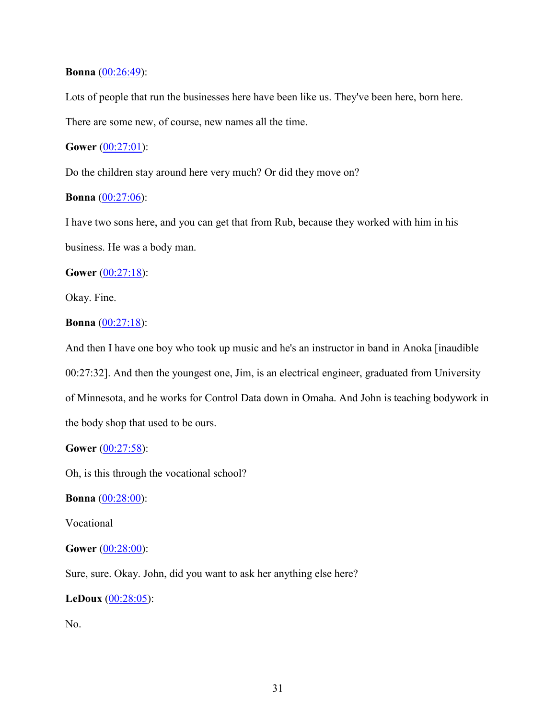## **Bonna** [\(00:26:49\)](https://www.rev.com/transcript-editor/Edit?token=kzl6p921RG2fwDws_7pmtUcwzr6q06Qh5Ib8wQ59Fl-0imZPQtrjLWstGYi22aCIrAbptRmYPQzvri5rMGEARotLCeI&loadFrom=DocumentDeeplink&ts=1609.33):

Lots of people that run the businesses here have been like us. They've been here, born here. There are some new, of course, new names all the time.

# **Gower** (00:27:01):

Do the children stay around here very much? Or did they move on?

# **Bonna** (00:27:06):

I have two sons here, and you can get that from Rub, because they worked with him in his business. He was a body man.

# **Gower** (00:27:18):

Okay. Fine.

# **Bonna** (00:27:18):

And then I have one boy who took up music and he's an instructor in band in Anoka [inaudible 00:27:32]. And then the youngest one, Jim, is an electrical engineer, graduated from University of Minnesota, and he works for Control Data down in Omaha. And John is teaching bodywork in the body shop that used to be ours.

# **Gower** (00:27:58):

Oh, is this through the vocational school?

**Bonna** (00:28:00):

Vocational

# **Gower** (00:28:00):

Sure, sure. Okay. John, did you want to ask her anything else here?

# **LeDoux** (00:28:05):

No.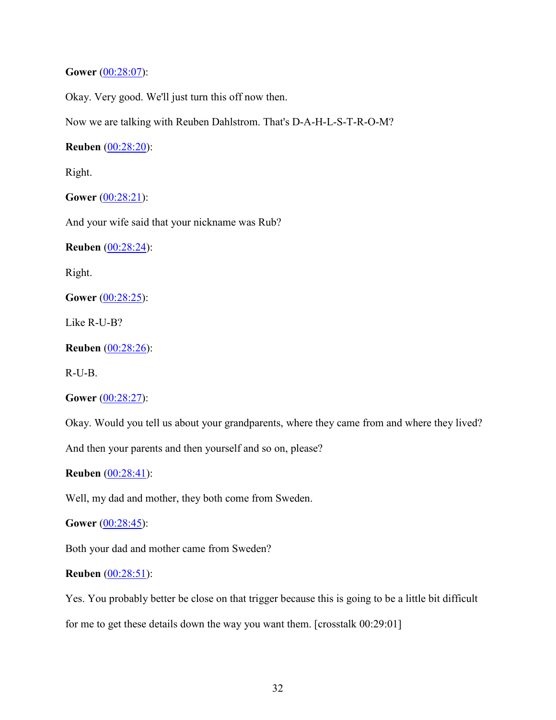# **Gower** (00:28:07):

Okay. Very good. We'll just turn this off now then.

Now we are talking with Reuben Dahlstrom. That's D-A-H-L-S-T-R-O-M?

**Reuben** (00:28:20):

Right.

**Gower** (00:28:21):

And your wife said that your nickname was Rub?

**Reuben** (00:28:24):

Right.

**Gower** (00:28:25):

Like R-U-B?

**Reuben** (00:28:26):

R-U-B.

**Gower** (00:28:27):

Okay. Would you tell us about your grandparents, where they came from and where they lived?

And then your parents and then yourself and so on, please?

**Reuben** (00:28:41):

Well, my dad and mother, they both come from Sweden.

**Gower** (00:28:45):

Both your dad and mother came from Sweden?

# **Reuben** (00:28:51):

Yes. You probably better be close on that trigger because this is going to be a little bit difficult for me to get these details down the way you want them. [crosstalk 00:29:01]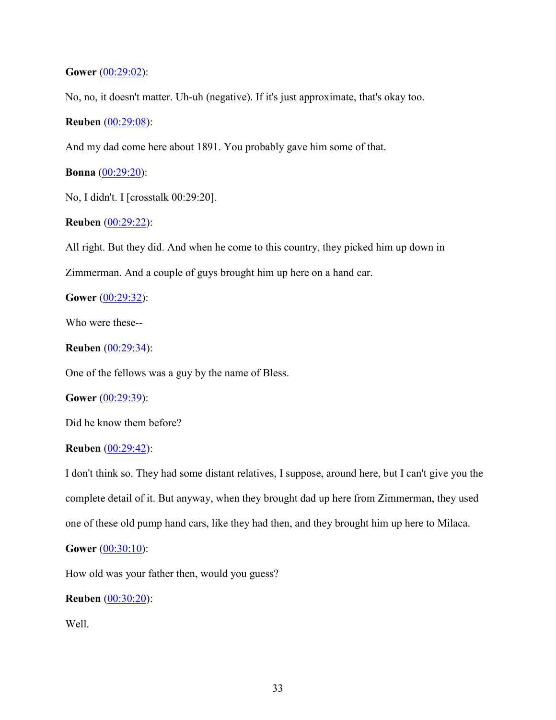**Gower** (00:29:02):

No, no, it doesn't matter. Uh-uh (negative). If it's just approximate, that's okay too.

**Reuben** (00:29:08):

And my dad come here about 1891. You probably gave him some of that.

**Bonna** (00:29:20):

No, I didn't. I [crosstalk 00:29:20].

**Reuben** (00:29:22):

All right. But they did. And when he come to this country, they picked him up down in Zimmerman. And a couple of guys brought him up here on a hand car.

**Gower** (00:29:32):

Who were these--

**Reuben** (00:29:34):

One of the fellows was a guy by the name of Bless.

**Gower** (00:29:39):

Did he know them before?

# **Reuben** (00:29:42):

I don't think so. They had some distant relatives, I suppose, around here, but I can't give you the complete detail of it. But anyway, when they brought dad up here from Zimmerman, they used one of these old pump hand cars, like they had then, and they brought him up here to Milaca.

# **Gower** (00:30:10):

How old was your father then, would you guess?

**Reuben** (00:30:20):

Well.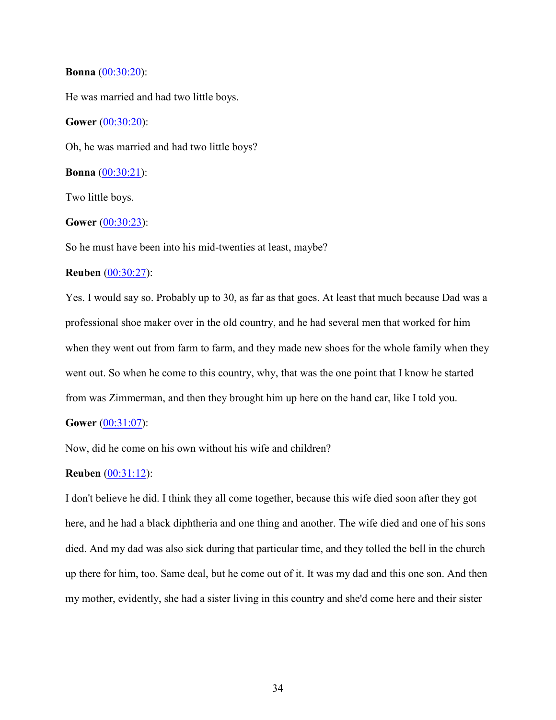#### **Bonna** (00:30:20):

He was married and had two little boys.

**Gower** (00:30:20):

Oh, he was married and had two little boys?

**Bonna** (00:30:21):

Two little boys.

#### **Gower** (00:30:23):

So he must have been into his mid-twenties at least, maybe?

## **Reuben** (00:30:27):

Yes. I would say so. Probably up to 30, as far as that goes. At least that much because Dad was a professional shoe maker over in the old country, and he had several men that worked for him when they went out from farm to farm, and they made new shoes for the whole family when they went out. So when he come to this country, why, that was the one point that I know he started from was Zimmerman, and then they brought him up here on the hand car, like I told you.

# **Gower** (00:31:07):

Now, did he come on his own without his wife and children?

# **Reuben** (00:31:12):

I don't believe he did. I think they all come together, because this wife died soon after they got here, and he had a black diphtheria and one thing and another. The wife died and one of his sons died. And my dad was also sick during that particular time, and they tolled the bell in the church up there for him, too. Same deal, but he come out of it. It was my dad and this one son. And then my mother, evidently, she had a sister living in this country and she'd come here and their sister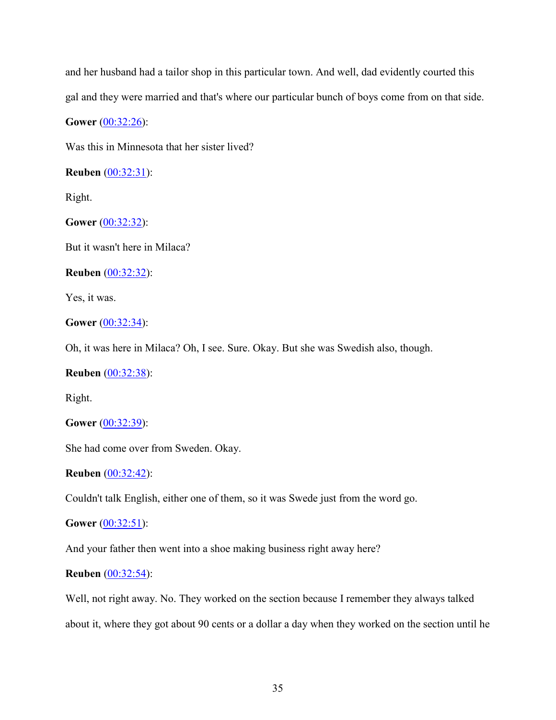and her husband had a tailor shop in this particular town. And well, dad evidently courted this gal and they were married and that's where our particular bunch of boys come from on that side.

**Gower** (00:32:26):

Was this in Minnesota that her sister lived?

**Reuben** (00:32:31):

Right.

**Gower** (00:32:32):

But it wasn't here in Milaca?

**Reuben** (00:32:32):

Yes, it was.

# **Gower** (00:32:34):

Oh, it was here in Milaca? Oh, I see. Sure. Okay. But she was Swedish also, though.

**Reuben** (00:32:38):

Right.

**Gower** (00:32:39):

She had come over from Sweden. Okay.

**Reuben** (00:32:42):

Couldn't talk English, either one of them, so it was Swede just from the word go.

**Gower** (00:32:51):

And your father then went into a shoe making business right away here?

# **Reuben** (00:32:54):

Well, not right away. No. They worked on the section because I remember they always talked about it, where they got about 90 cents or a dollar a day when they worked on the section until he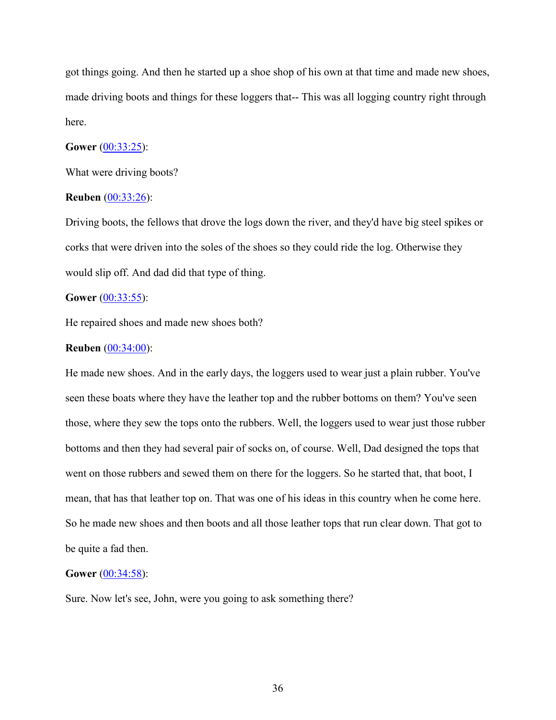got things going. And then he started up a shoe shop of his own at that time and made new shoes, made driving boots and things for these loggers that-- This was all logging country right through here.

## **Gower** (00:33:25):

What were driving boots?

#### **Reuben** (00:33:26):

Driving boots, the fellows that drove the logs down the river, and they'd have big steel spikes or corks that were driven into the soles of the shoes so they could ride the log. Otherwise they would slip off. And dad did that type of thing.

## **Gower** (00:33:55):

He repaired shoes and made new shoes both?

#### **Reuben** (00:34:00):

He made new shoes. And in the early days, the loggers used to wear just a plain rubber. You've seen these boats where they have the leather top and the rubber bottoms on them? You've seen those, where they sew the tops onto the rubbers. Well, the loggers used to wear just those rubber bottoms and then they had several pair of socks on, of course. Well, Dad designed the tops that went on those rubbers and sewed them on there for the loggers. So he started that, that boot, I mean, that has that leather top on. That was one of his ideas in this country when he come here. So he made new shoes and then boots and all those leather tops that run clear down. That got to be quite a fad then.

#### **Gower** (00:34:58):

Sure. Now let's see, John, were you going to ask something there?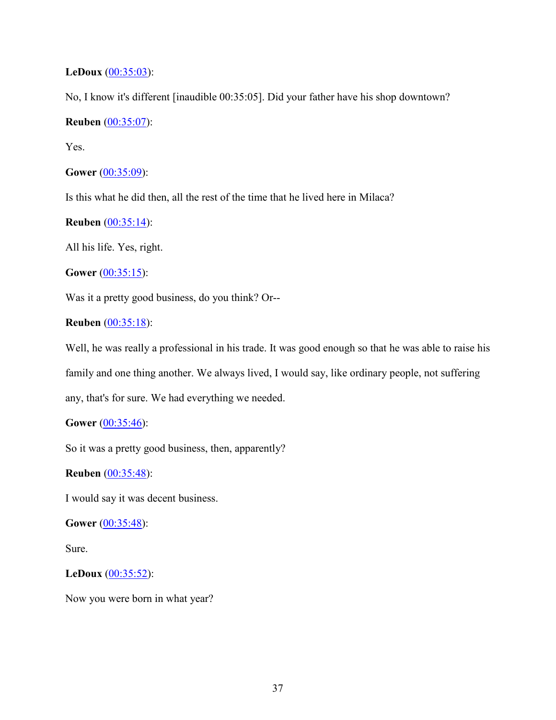## **LeDoux** (00:35:03):

No, I know it's different [inaudible 00:35:05]. Did your father have his shop downtown?

# **Reuben** (00:35:07):

Yes.

```
Gower (00:35:09):
```
Is this what he did then, all the rest of the time that he lived here in Milaca?

# **Reuben** (00:35:14):

All his life. Yes, right.

**Gower** (00:35:15):

Was it a pretty good business, do you think? Or--

## **Reuben** (00:35:18):

Well, he was really a professional in his trade. It was good enough so that he was able to raise his family and one thing another. We always lived, I would say, like ordinary people, not suffering any, that's for sure. We had everything we needed.

## **Gower** (00:35:46):

So it was a pretty good business, then, apparently?

## **Reuben** (00:35:48):

I would say it was decent business.

**Gower** (00:35:48):

Sure.

# **LeDoux** (00:35:52):

Now you were born in what year?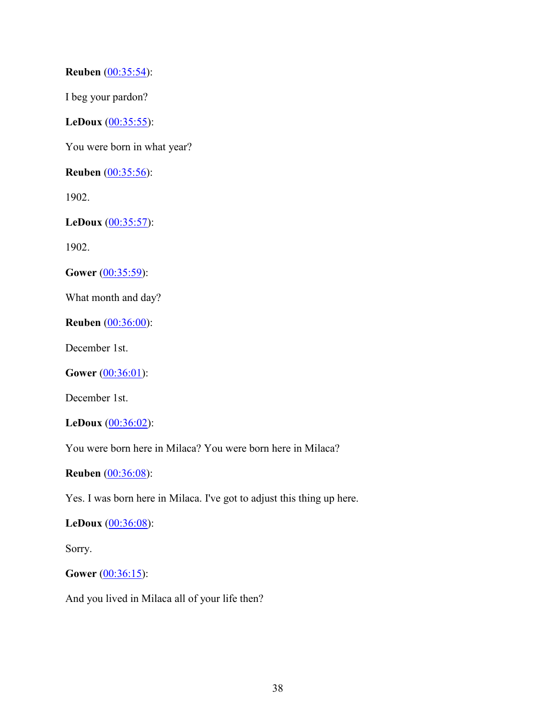**Reuben** (00:35:54):

I beg your pardon?

**LeDoux** (00:35:55):

You were born in what year?

**Reuben** (00:35:56):

1902.

**LeDoux** (00:35:57):

1902.

Gower (00:35:59):

What month and day?

**Reuben** (00:36:00):

December 1st.

**Gower** (00:36:01):

December 1st.

**LeDoux** (00:36:02):

You were born here in Milaca? You were born here in Milaca?

**Reuben** (00:36:08):

Yes. I was born here in Milaca. I've got to adjust this thing up here.

**LeDoux** (00:36:08):

Sorry.

**Gower** (00:36:15):

And you lived in Milaca all of your life then?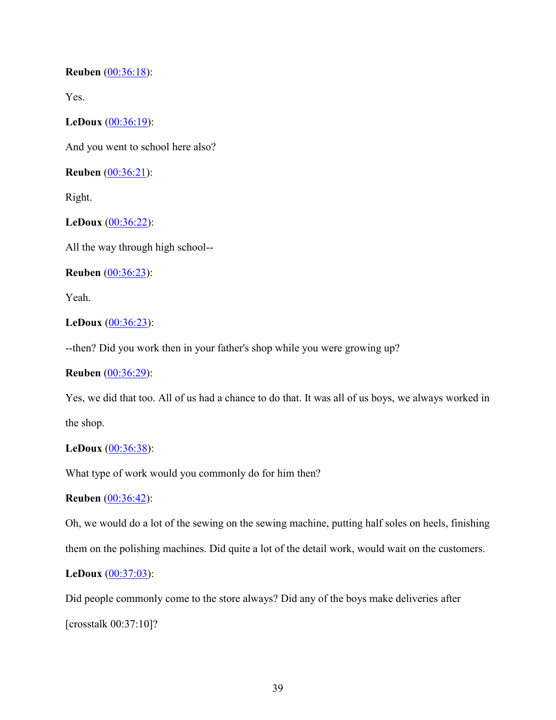**Reuben** (00:36:18):

Yes.

**LeDoux** (00:36:19):

And you went to school here also?

**Reuben** (00:36:21):

Right.

**LeDoux** (00:36:22):

All the way through high school--

**Reuben** (00:36:23):

Yeah.

## **LeDoux** (00:36:23):

--then? Did you work then in your father's shop while you were growing up?

## **Reuben** (00:36:29):

Yes, we did that too. All of us had a chance to do that. It was all of us boys, we always worked in the shop.

## **LeDoux** (00:36:38):

What type of work would you commonly do for him then?

**Reuben** (00:36:42):

Oh, we would do a lot of the sewing on the sewing machine, putting half soles on heels, finishing

them on the polishing machines. Did quite a lot of the detail work, would wait on the customers.

## **LeDoux** (00:37:03):

Did people commonly come to the store always? Did any of the boys make deliveries after [crosstalk 00:37:10]?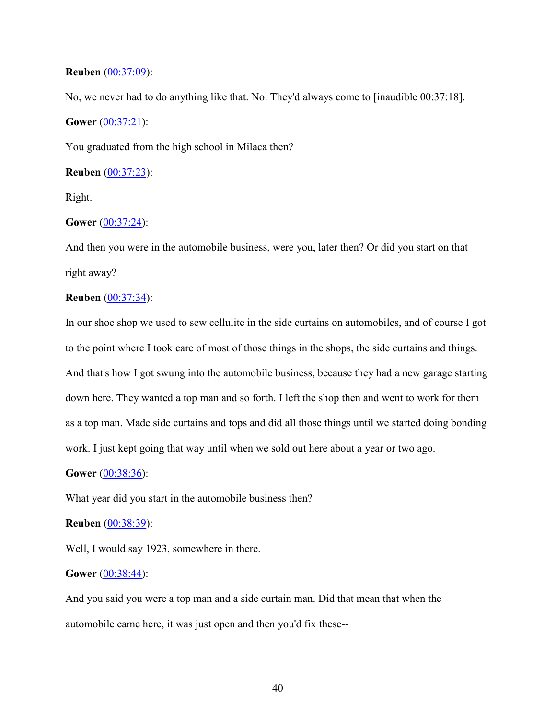## **Reuben** (00:37:09):

No, we never had to do anything like that. No. They'd always come to [inaudible 00:37:18].

## **Gower** (00:37:21):

You graduated from the high school in Milaca then?

**Reuben** (00:37:23):

Right.

### **Gower** (00:37:24):

And then you were in the automobile business, were you, later then? Or did you start on that right away?

## **Reuben** (00:37:34):

In our shoe shop we used to sew cellulite in the side curtains on automobiles, and of course I got to the point where I took care of most of those things in the shops, the side curtains and things. And that's how I got swung into the automobile business, because they had a new garage starting down here. They wanted a top man and so forth. I left the shop then and went to work for them as a top man. Made side curtains and tops and did all those things until we started doing bonding work. I just kept going that way until when we sold out here about a year or two ago.

#### **Gower** (00:38:36):

What year did you start in the automobile business then?

#### **Reuben** (00:38:39):

Well, I would say 1923, somewhere in there.

## **Gower** (00:38:44):

And you said you were a top man and a side curtain man. Did that mean that when the automobile came here, it was just open and then you'd fix these--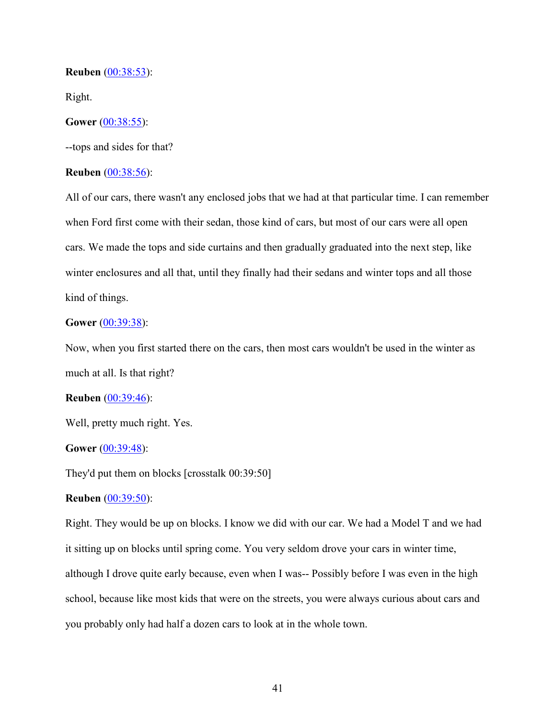### **Reuben** (00:38:53):

Right.

## **Gower** (00:38:55):

--tops and sides for that?

## **Reuben** (00:38:56):

All of our cars, there wasn't any enclosed jobs that we had at that particular time. I can remember when Ford first come with their sedan, those kind of cars, but most of our cars were all open cars. We made the tops and side curtains and then gradually graduated into the next step, like winter enclosures and all that, until they finally had their sedans and winter tops and all those kind of things.

## **Gower** (00:39:38):

Now, when you first started there on the cars, then most cars wouldn't be used in the winter as much at all. Is that right?

#### **Reuben** (00:39:46):

Well, pretty much right. Yes.

## **Gower** (00:39:48):

They'd put them on blocks [crosstalk 00:39:50]

### **Reuben** (00:39:50):

Right. They would be up on blocks. I know we did with our car. We had a Model T and we had it sitting up on blocks until spring come. You very seldom drove your cars in winter time, although I drove quite early because, even when I was-- Possibly before I was even in the high school, because like most kids that were on the streets, you were always curious about cars and you probably only had half a dozen cars to look at in the whole town.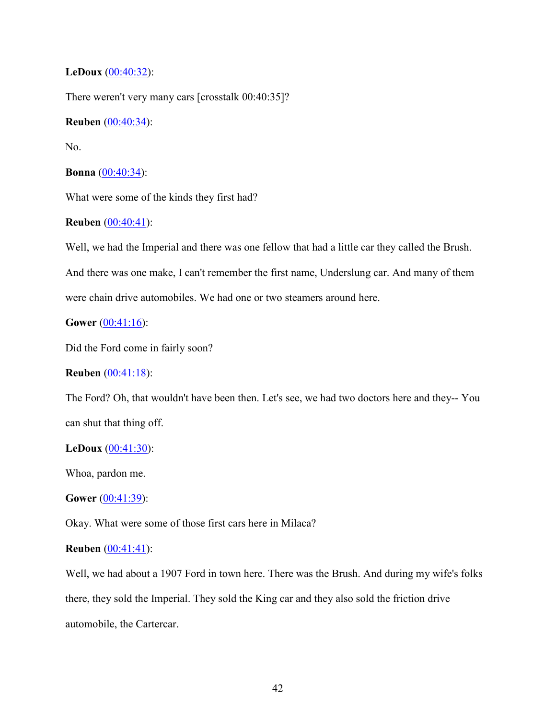## **LeDoux** (00:40:32):

There weren't very many cars [crosstalk 00:40:35]?

## **Reuben** (00:40:34):

No.

### **Bonna** (00:40:34):

What were some of the kinds they first had?

## **Reuben** (00:40:41):

Well, we had the Imperial and there was one fellow that had a little car they called the Brush.

And there was one make, I can't remember the first name, Underslung car. And many of them

were chain drive automobiles. We had one or two steamers around here.

## **Gower** (00:41:16):

Did the Ford come in fairly soon?

## **Reuben** (00:41:18):

The Ford? Oh, that wouldn't have been then. Let's see, we had two doctors here and they-- You can shut that thing off.

#### **LeDoux** (00:41:30):

Whoa, pardon me.

## **Gower** (00:41:39):

Okay. What were some of those first cars here in Milaca?

## **Reuben** (00:41:41):

Well, we had about a 1907 Ford in town here. There was the Brush. And during my wife's folks there, they sold the Imperial. They sold the King car and they also sold the friction drive automobile, the Cartercar.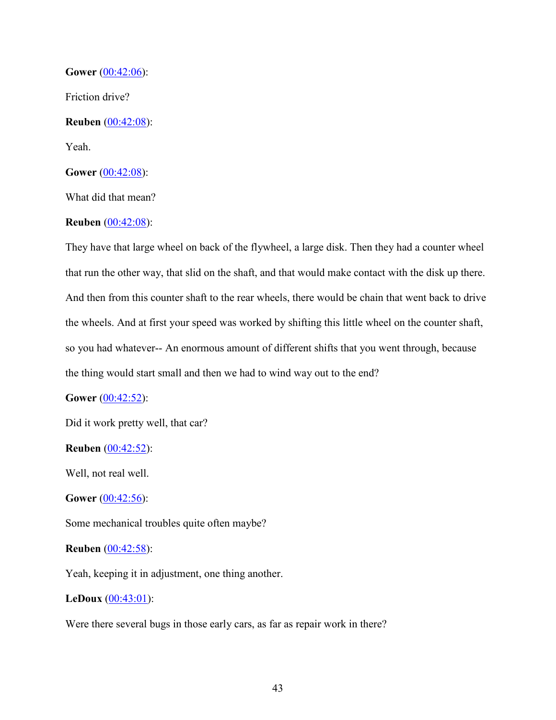**Gower** (00:42:06): Friction drive? **Reuben** (00:42:08): Yeah. **Gower** (00:42:08): What did that mean?

## **Reuben** (00:42:08):

They have that large wheel on back of the flywheel, a large disk. Then they had a counter wheel that run the other way, that slid on the shaft, and that would make contact with the disk up there. And then from this counter shaft to the rear wheels, there would be chain that went back to drive the wheels. And at first your speed was worked by shifting this little wheel on the counter shaft, so you had whatever-- An enormous amount of different shifts that you went through, because the thing would start small and then we had to wind way out to the end?

## **Gower** (00:42:52):

Did it work pretty well, that car?

**Reuben** (00:42:52):

Well, not real well.

**Gower** (00:42:56):

Some mechanical troubles quite often maybe?

### **Reuben** (00:42:58):

Yeah, keeping it in adjustment, one thing another.

## **LeDoux** (00:43:01):

Were there several bugs in those early cars, as far as repair work in there?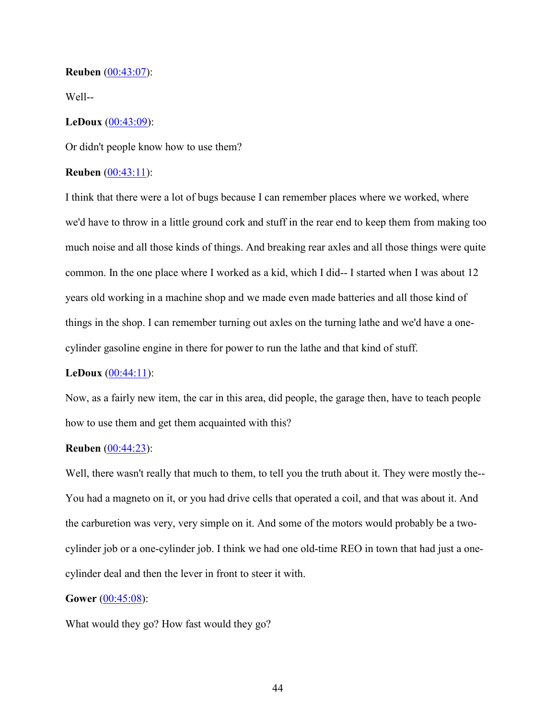### **Reuben** (00:43:07):

Well--

### **LeDoux** (00:43:09):

Or didn't people know how to use them?

## **Reuben** (00:43:11):

I think that there were a lot of bugs because I can remember places where we worked, where we'd have to throw in a little ground cork and stuff in the rear end to keep them from making too much noise and all those kinds of things. And breaking rear axles and all those things were quite common. In the one place where I worked as a kid, which I did-- I started when I was about 12 years old working in a machine shop and we made even made batteries and all those kind of things in the shop. I can remember turning out axles on the turning lathe and we'd have a onecylinder gasoline engine in there for power to run the lathe and that kind of stuff.

## **LeDoux** (00:44:11):

Now, as a fairly new item, the car in this area, did people, the garage then, have to teach people how to use them and get them acquainted with this?

# **Reuben** (00:44:23):

Well, there wasn't really that much to them, to tell you the truth about it. They were mostly the-- You had a magneto on it, or you had drive cells that operated a coil, and that was about it. And the carburetion was very, very simple on it. And some of the motors would probably be a twocylinder job or a one-cylinder job. I think we had one old-time REO in town that had just a onecylinder deal and then the lever in front to steer it with.

#### **Gower** (00:45:08):

What would they go? How fast would they go?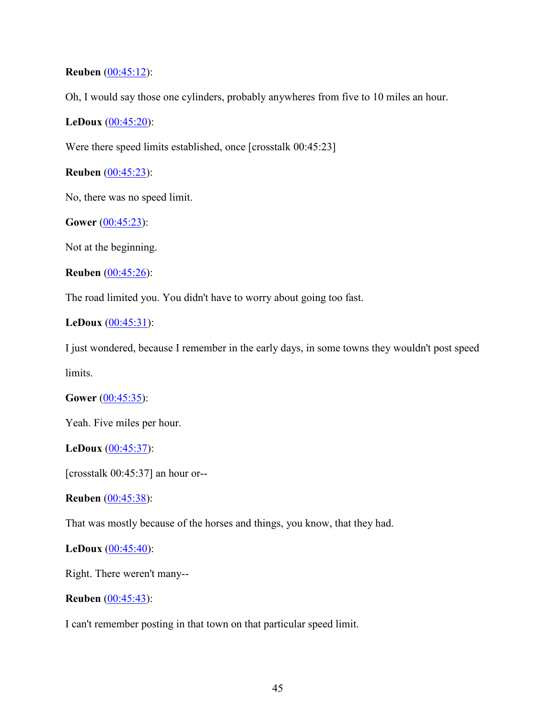## **Reuben** (00:45:12):

Oh, I would say those one cylinders, probably anywheres from five to 10 miles an hour.

## **LeDoux** (00:45:20):

Were there speed limits established, once [crosstalk 00:45:23]

**Reuben** (00:45:23):

No, there was no speed limit.

**Gower** (00:45:23):

Not at the beginning.

```
Reuben (00:45:26):
```
The road limited you. You didn't have to worry about going too fast.

## **LeDoux** (00:45:31):

I just wondered, because I remember in the early days, in some towns they wouldn't post speed

limits.

## **Gower** (00:45:35):

Yeah. Five miles per hour.

**LeDoux** (00:45:37):

[crosstalk 00:45:37] an hour or--

**Reuben** (00:45:38):

That was mostly because of the horses and things, you know, that they had.

## **LeDoux** (00:45:40):

Right. There weren't many--

**Reuben** (00:45:43):

I can't remember posting in that town on that particular speed limit.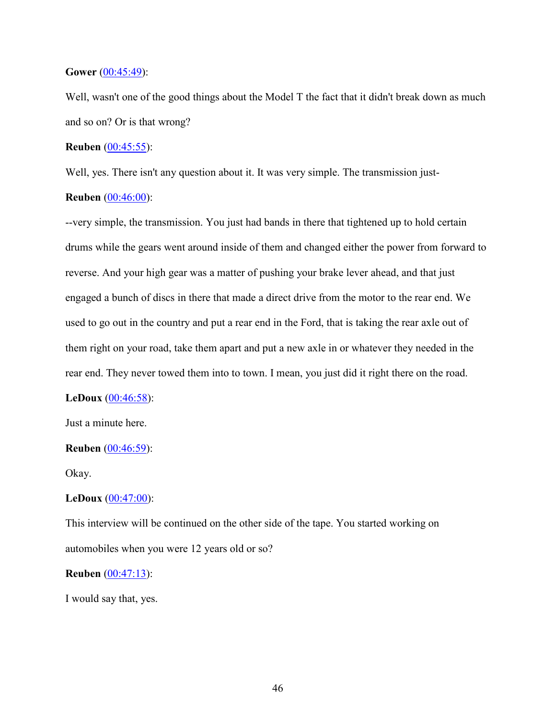### **Gower** (00:45:49):

Well, wasn't one of the good things about the Model T the fact that it didn't break down as much and so on? Or is that wrong?

### **Reuben** (00:45:55):

Well, yes. There isn't any question about it. It was very simple. The transmission just-

### **Reuben** (00:46:00):

--very simple, the transmission. You just had bands in there that tightened up to hold certain drums while the gears went around inside of them and changed either the power from forward to reverse. And your high gear was a matter of pushing your brake lever ahead, and that just engaged a bunch of discs in there that made a direct drive from the motor to the rear end. We used to go out in the country and put a rear end in the Ford, that is taking the rear axle out of them right on your road, take them apart and put a new axle in or whatever they needed in the rear end. They never towed them into to town. I mean, you just did it right there on the road.

#### **LeDoux** (00:46:58):

Just a minute here.

## **Reuben** (00:46:59):

Okay.

### **LeDoux** (00:47:00):

This interview will be continued on the other side of the tape. You started working on automobiles when you were 12 years old or so?

#### **Reuben** (00:47:13):

I would say that, yes.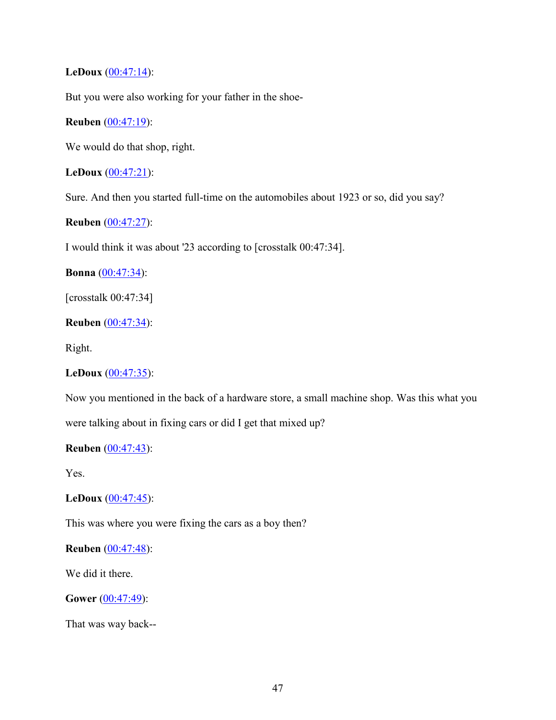**LeDoux**  $(00:47:14)$ :

But you were also working for your father in the shoe-

**Reuben** (00:47:19):

We would do that shop, right.

**LeDoux** (00:47:21):

Sure. And then you started full-time on the automobiles about 1923 or so, did you say?

**Reuben** (00:47:27):

I would think it was about '23 according to [crosstalk 00:47:34].

**Bonna** (00:47:34):

[crosstalk 00:47:34]

**Reuben** (00:47:34):

Right.

## **LeDoux** (00:47:35):

Now you mentioned in the back of a hardware store, a small machine shop. Was this what you were talking about in fixing cars or did I get that mixed up?

## **Reuben** (00:47:43):

Yes.

**LeDoux** (00:47:45):

This was where you were fixing the cars as a boy then?

**Reuben** (00:47:48):

We did it there.

**Gower** (00:47:49):

That was way back--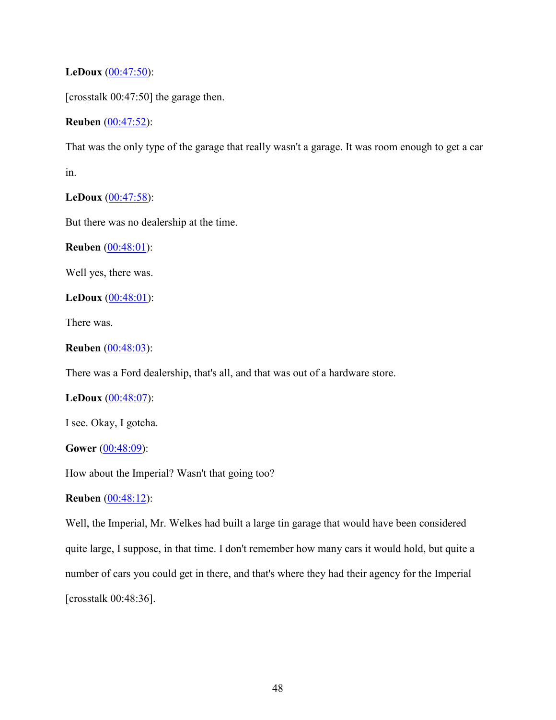**LeDoux** (00:47:50):

[crosstalk 00:47:50] the garage then.

**Reuben** (00:47:52):

That was the only type of the garage that really wasn't a garage. It was room enough to get a car in.

**LeDoux** (00:47:58):

But there was no dealership at the time.

**Reuben** (00:48:01):

Well yes, there was.

**LeDoux** (00:48:01):

There was.

```
Reuben (00:48:03):
```
There was a Ford dealership, that's all, and that was out of a hardware store.

## **LeDoux** (00:48:07):

I see. Okay, I gotcha.

## **Gower** (00:48:09):

How about the Imperial? Wasn't that going too?

**Reuben** (00:48:12):

Well, the Imperial, Mr. Welkes had built a large tin garage that would have been considered quite large, I suppose, in that time. I don't remember how many cars it would hold, but quite a number of cars you could get in there, and that's where they had their agency for the Imperial [crosstalk 00:48:36].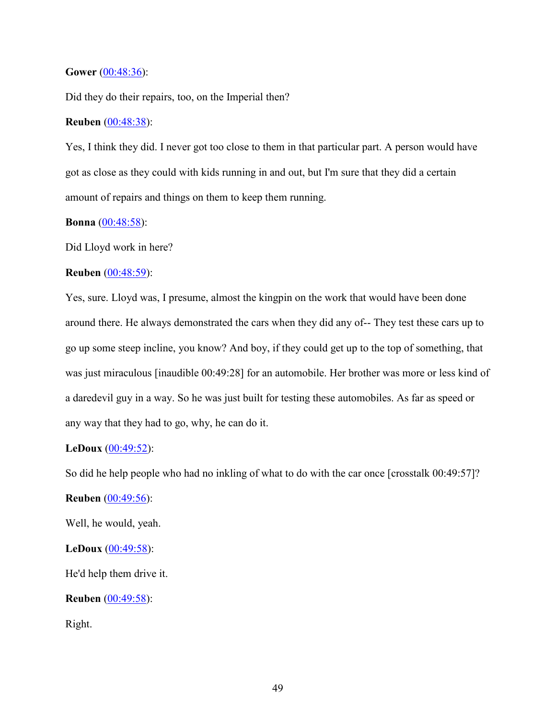#### **Gower** (00:48:36):

Did they do their repairs, too, on the Imperial then?

## **Reuben** (00:48:38):

Yes, I think they did. I never got too close to them in that particular part. A person would have got as close as they could with kids running in and out, but I'm sure that they did a certain amount of repairs and things on them to keep them running.

## **Bonna** (00:48:58):

Did Lloyd work in here?

### **Reuben** (00:48:59):

Yes, sure. Lloyd was, I presume, almost the kingpin on the work that would have been done around there. He always demonstrated the cars when they did any of-- They test these cars up to go up some steep incline, you know? And boy, if they could get up to the top of something, that was just miraculous [inaudible 00:49:28] for an automobile. Her brother was more or less kind of a daredevil guy in a way. So he was just built for testing these automobiles. As far as speed or any way that they had to go, why, he can do it.

## **LeDoux** (00:49:52):

So did he help people who had no inkling of what to do with the car once [crosstalk 00:49:57]?

**Reuben** (00:49:56):

Well, he would, yeah.

## **LeDoux** (00:49:58):

He'd help them drive it.

**Reuben** (00:49:58):

Right.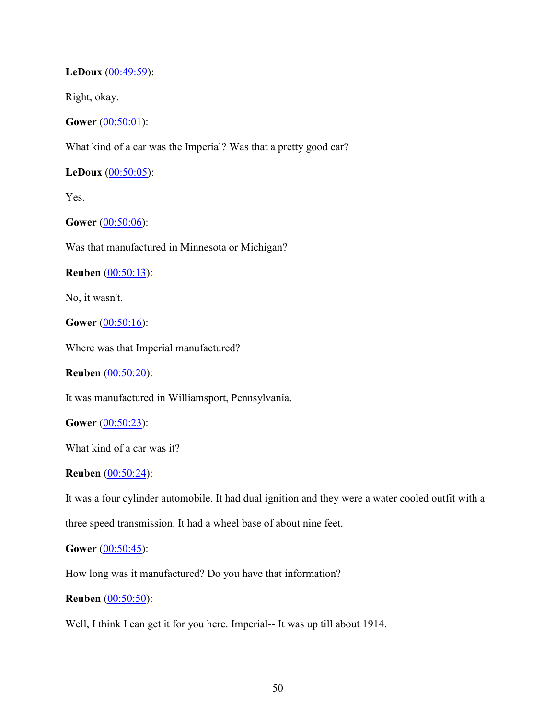## **LeDoux** (00:49:59):

Right, okay.

**Gower** (00:50:01):

What kind of a car was the Imperial? Was that a pretty good car?

**LeDoux** (00:50:05):

Yes.

**Gower** (00:50:06):

Was that manufactured in Minnesota or Michigan?

**Reuben** (00:50:13):

No, it wasn't.

**Gower** (00:50:16):

Where was that Imperial manufactured?

**Reuben** (00:50:20):

It was manufactured in Williamsport, Pennsylvania.

**Gower** (00:50:23):

What kind of a car was it?

#### **Reuben** (00:50:24):

It was a four cylinder automobile. It had dual ignition and they were a water cooled outfit with a three speed transmission. It had a wheel base of about nine feet.

#### **Gower** (00:50:45):

How long was it manufactured? Do you have that information?

### **Reuben** (00:50:50):

Well, I think I can get it for you here. Imperial-- It was up till about 1914.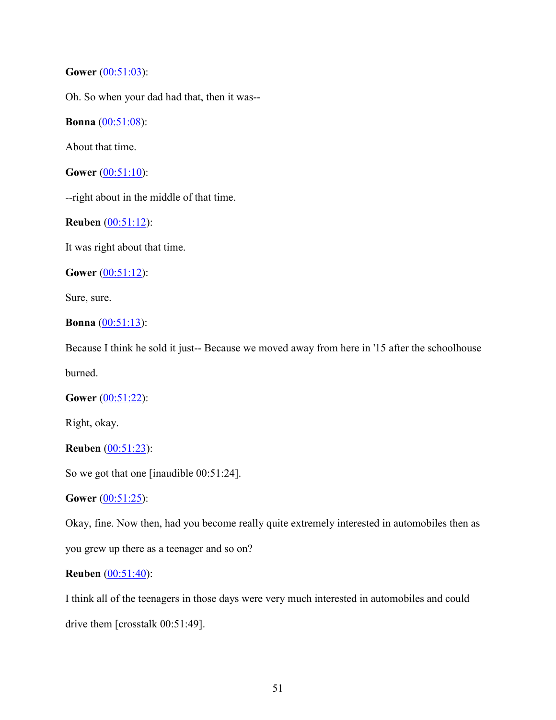**Gower** (00:51:03):

Oh. So when your dad had that, then it was--

**Bonna** (00:51:08):

About that time.

**Gower** (00:51:10):

--right about in the middle of that time.

**Reuben** (00:51:12):

It was right about that time.

**Gower** (00:51:12):

Sure, sure.

```
Bonna (00:51:13):
```
Because I think he sold it just-- Because we moved away from here in '15 after the schoolhouse

burned.

**Gower** (00:51:22):

Right, okay.

**Reuben** (00:51:23):

So we got that one [inaudible 00:51:24].

**Gower** (00:51:25):

Okay, fine. Now then, had you become really quite extremely interested in automobiles then as you grew up there as a teenager and so on?

## **Reuben** (00:51:40):

I think all of the teenagers in those days were very much interested in automobiles and could drive them [crosstalk 00:51:49].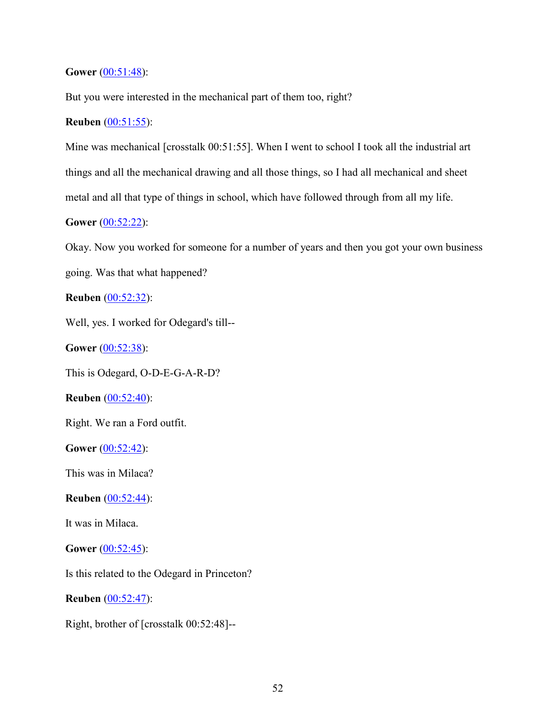**Gower** (00:51:48):

But you were interested in the mechanical part of them too, right?

## **Reuben** (00:51:55):

Mine was mechanical [crosstalk 00:51:55]. When I went to school I took all the industrial art things and all the mechanical drawing and all those things, so I had all mechanical and sheet metal and all that type of things in school, which have followed through from all my life.

# **Gower** (00:52:22):

Okay. Now you worked for someone for a number of years and then you got your own business going. Was that what happened?

**Reuben** (00:52:32):

Well, yes. I worked for Odegard's till--

**Gower** (00:52:38):

This is Odegard, O-D-E-G-A-R-D?

**Reuben** (00:52:40):

Right. We ran a Ford outfit.

**Gower** (00:52:42):

This was in Milaca?

**Reuben** (00:52:44):

It was in Milaca.

**Gower** (00:52:45):

Is this related to the Odegard in Princeton?

**Reuben** (00:52:47):

Right, brother of [crosstalk 00:52:48]--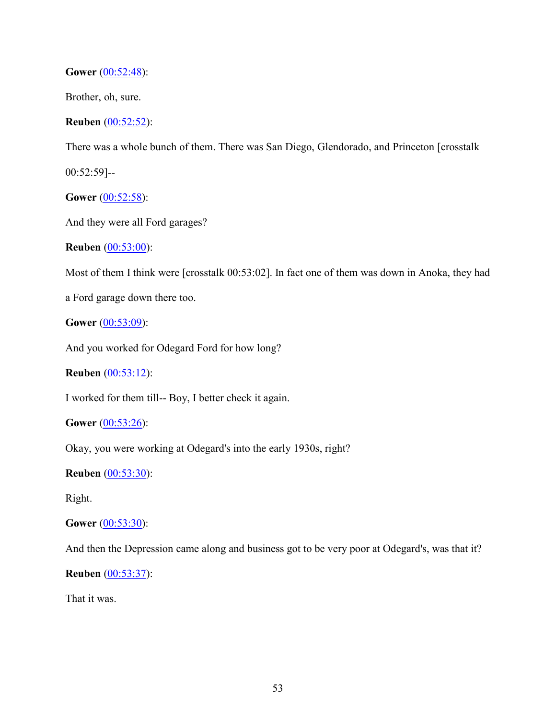**Gower** (00:52:48):

Brother, oh, sure.

**Reuben** (00:52:52):

There was a whole bunch of them. There was San Diego, Glendorado, and Princeton [crosstalk

00:52:59]--

**Gower** (00:52:58):

And they were all Ford garages?

**Reuben** (00:53:00):

Most of them I think were [crosstalk 00:53:02]. In fact one of them was down in Anoka, they had

a Ford garage down there too.

**Gower** (00:53:09):

And you worked for Odegard Ford for how long?

**Reuben** (00:53:12):

I worked for them till-- Boy, I better check it again.

**Gower** (00:53:26):

Okay, you were working at Odegard's into the early 1930s, right?

**Reuben** (00:53:30):

Right.

**Gower** (00:53:30):

And then the Depression came along and business got to be very poor at Odegard's, was that it?

**Reuben** (00:53:37):

That it was.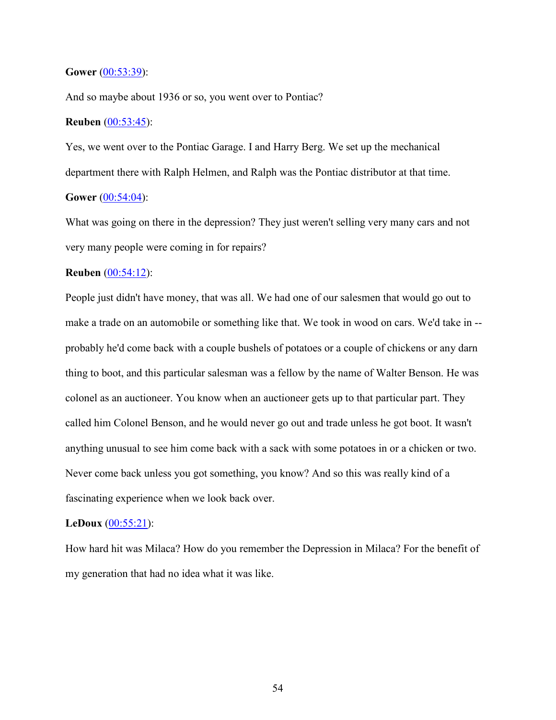#### **Gower** [\(00:53:39\)](https://www.rev.com/transcript-editor/Edit?token=dSWxaX6ZeAEcU_Y4WiPtR4O6QuqSlrrbI69qk0rL-tcXG-cZkpqWBIV7Zq2H1_Io_v2-5Y396I1MIqoHs-G4Q0fA418&loadFrom=DocumentDeeplink&ts=3219.7):

And so maybe about 1936 or so, you went over to Pontiac?

### **Reuben** (00:53:45):

Yes, we went over to the Pontiac Garage. I and Harry Berg. We set up the mechanical department there with Ralph Helmen, and Ralph was the Pontiac distributor at that time. **Gower** (00:54:04):

What was going on there in the depression? They just weren't selling very many cars and not very many people were coming in for repairs?

## **Reuben** (00:54:12):

People just didn't have money, that was all. We had one of our salesmen that would go out to make a trade on an automobile or something like that. We took in wood on cars. We'd take in - probably he'd come back with a couple bushels of potatoes or a couple of chickens or any darn thing to boot, and this particular salesman was a fellow by the name of Walter Benson. He was colonel as an auctioneer. You know when an auctioneer gets up to that particular part. They called him Colonel Benson, and he would never go out and trade unless he got boot. It wasn't anything unusual to see him come back with a sack with some potatoes in or a chicken or two. Never come back unless you got something, you know? And so this was really kind of a fascinating experience when we look back over.

#### **LeDoux** (00:55:21):

How hard hit was Milaca? How do you remember the Depression in Milaca? For the benefit of my generation that had no idea what it was like.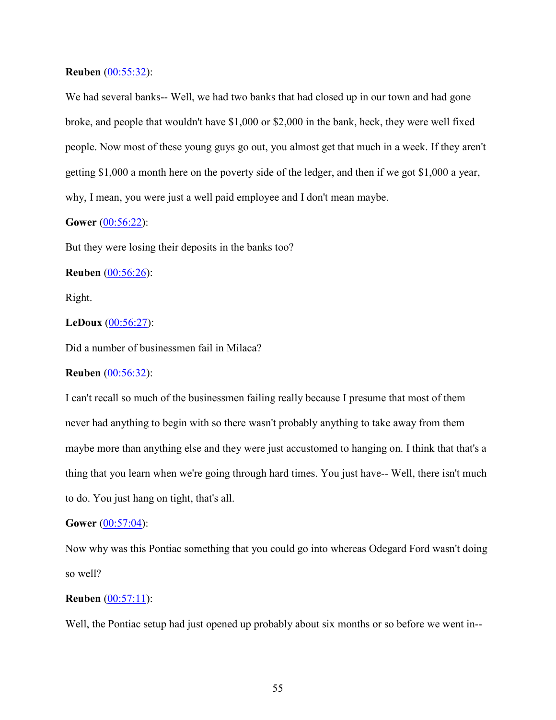### **Reuben** (00:55:32):

We had several banks-- Well, we had two banks that had closed up in our town and had gone broke, and people that wouldn't have \$1,000 or \$2,000 in the bank, heck, they were well fixed people. Now most of these young guys go out, you almost get that much in a week. If they aren't getting \$1,000 a month here on the poverty side of the ledger, and then if we got \$1,000 a year, why, I mean, you were just a well paid employee and I don't mean maybe.

## **Gower** (00:56:22):

But they were losing their deposits in the banks too?

**Reuben** (00:56:26):

Right.

## **LeDoux** (00:56:27):

Did a number of businessmen fail in Milaca?

## **Reuben** (00:56:32):

I can't recall so much of the businessmen failing really because I presume that most of them never had anything to begin with so there wasn't probably anything to take away from them maybe more than anything else and they were just accustomed to hanging on. I think that that's a thing that you learn when we're going through hard times. You just have-- Well, there isn't much to do. You just hang on tight, that's all.

### **Gower** (00:57:04):

Now why was this Pontiac something that you could go into whereas Odegard Ford wasn't doing so well?

## **Reuben** (00:57:11):

Well, the Pontiac setup had just opened up probably about six months or so before we went in--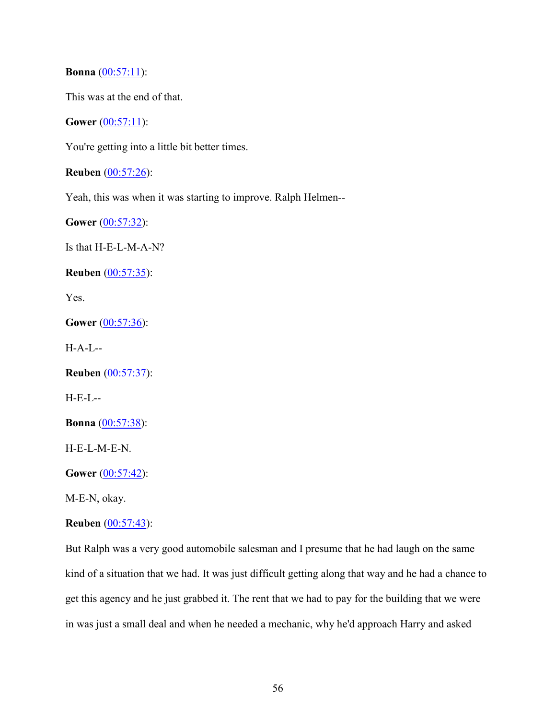**Bonna** (00:57:11):

This was at the end of that.

**Gower** (00:57:11):

You're getting into a little bit better times.

**Reuben** (00:57:26):

Yeah, this was when it was starting to improve. Ralph Helmen--

Gower (00:57:32):

Is that H-E-L-M-A-N?

**Reuben** (00:57:35):

Yes.

**Gower** (00:57:36):

H-A-L--

**Reuben** (00:57:37):

H-E-L--

**Bonna** (00:57:38):

H-E-L-M-E-N.

**Gower** (00:57:42):

M-E-N, okay.

## **Reuben** (00:57:43):

But Ralph was a very good automobile salesman and I presume that he had laugh on the same kind of a situation that we had. It was just difficult getting along that way and he had a chance to get this agency and he just grabbed it. The rent that we had to pay for the building that we were in was just a small deal and when he needed a mechanic, why he'd approach Harry and asked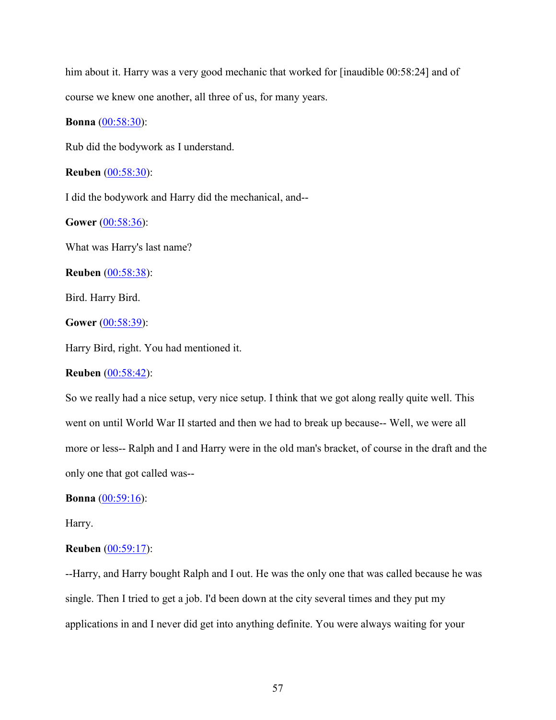him about it. Harry was a very good mechanic that worked for [inaudible 00:58:24] and of course we knew one another, all three of us, for many years.

### **Bonna** (00:58:30):

Rub did the bodywork as I understand.

**Reuben** (00:58:30):

I did the bodywork and Harry did the mechanical, and--

**Gower** (00:58:36):

What was Harry's last name?

**Reuben** (00:58:38):

Bird. Harry Bird.

**Gower** (00:58:39):

Harry Bird, right. You had mentioned it.

## **Reuben** (00:58:42):

So we really had a nice setup, very nice setup. I think that we got along really quite well. This went on until World War II started and then we had to break up because-- Well, we were all more or less-- Ralph and I and Harry were in the old man's bracket, of course in the draft and the only one that got called was--

#### **Bonna** (00:59:16):

Harry.

#### **Reuben** (00:59:17):

--Harry, and Harry bought Ralph and I out. He was the only one that was called because he was single. Then I tried to get a job. I'd been down at the city several times and they put my applications in and I never did get into anything definite. You were always waiting for your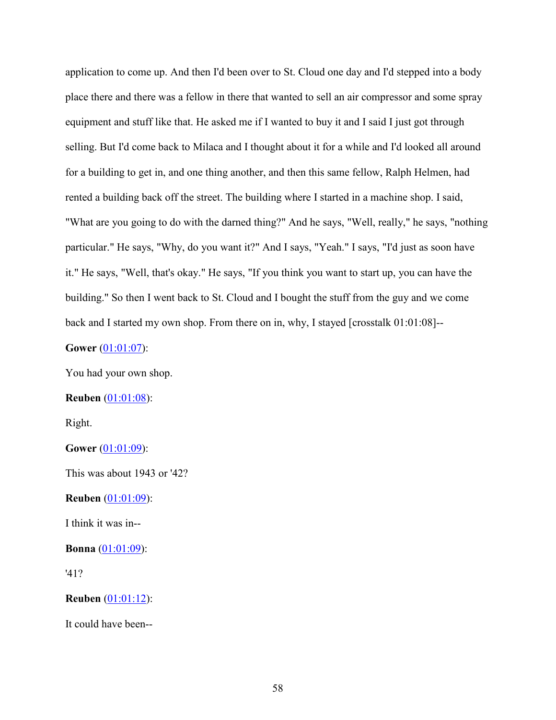application to come up. And then I'd been over to St. Cloud one day and I'd stepped into a body place there and there was a fellow in there that wanted to sell an air compressor and some spray equipment and stuff like that. He asked me if I wanted to buy it and I said I just got through selling. But I'd come back to Milaca and I thought about it for a while and I'd looked all around for a building to get in, and one thing another, and then this same fellow, Ralph Helmen, had rented a building back off the street. The building where I started in a machine shop. I said, "What are you going to do with the darned thing?" And he says, "Well, really," he says, "nothing particular." He says, "Why, do you want it?" And I says, "Yeah." I says, "I'd just as soon have it." He says, "Well, that's okay." He says, "If you think you want to start up, you can have the building." So then I went back to St. Cloud and I bought the stuff from the guy and we come back and I started my own shop. From there on in, why, I stayed [crosstalk 01:01:08]--

## **Gower** (01:01:07):

You had your own shop.

## **Reuben** (01:01:08):

Right.

**Gower** (01:01:09):

This was about 1943 or '42?

**Reuben** (01:01:09):

I think it was in--

**Bonna** (01:01:09):

'41?

**Reuben** (01:01:12):

It could have been--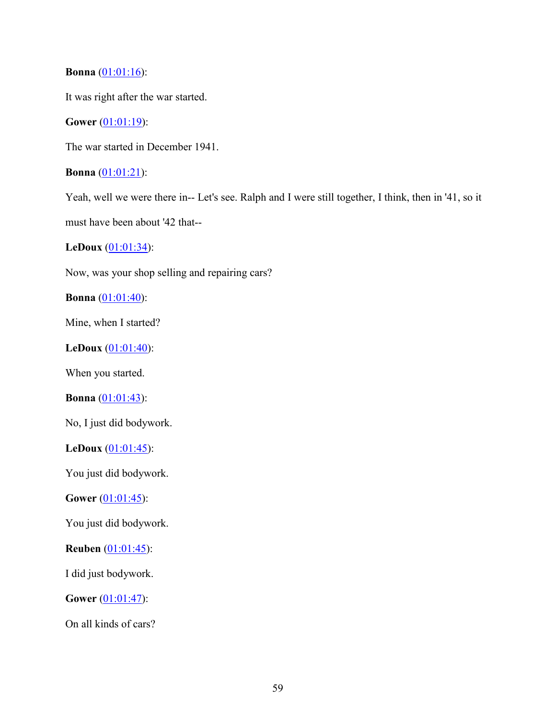## **Bonna** (01:01:16):

It was right after the war started.

# **Gower** (01:01:19):

The war started in December 1941.

**Bonna** (01:01:21):

Yeah, well we were there in-- Let's see. Ralph and I were still together, I think, then in '41, so it must have been about '42 that--

**LeDoux** (01:01:34):

Now, was your shop selling and repairing cars?

**Bonna** (01:01:40):

Mine, when I started?

**LeDoux** (01:01:40):

When you started.

**Bonna** (01:01:43):

No, I just did bodywork.

**LeDoux** (01:01:45):

You just did bodywork.

**Gower** (01:01:45):

You just did bodywork.

**Reuben** (01:01:45):

I did just bodywork.

**Gower** (01:01:47):

On all kinds of cars?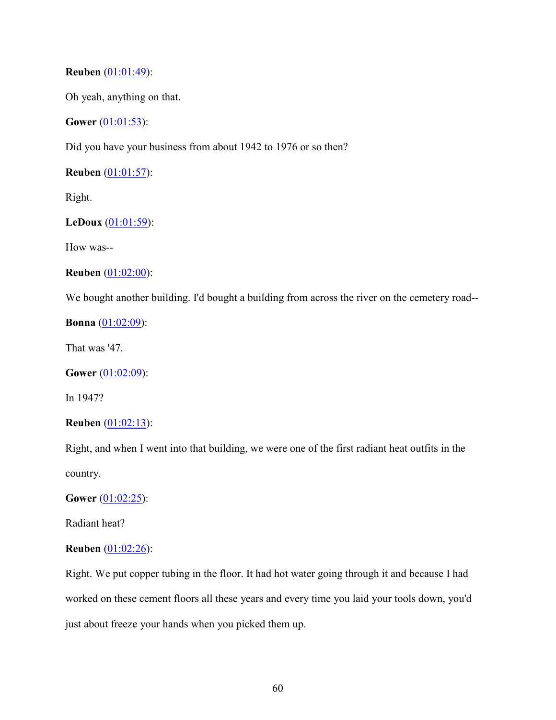## **Reuben** (01:01:49):

Oh yeah, anything on that.

**Gower** (01:01:53):

Did you have your business from about 1942 to 1976 or so then?

**Reuben** (01:01:57):

Right.

## **LeDoux** (01:01:59):

How was--

```
Reuben (01:02:00):
```
We bought another building. I'd bought a building from across the river on the cemetery road--

**Bonna** (01:02:09):

That was '47.

**Gower** (01:02:09):

In 1947?

**Reuben** (01:02:13):

Right, and when I went into that building, we were one of the first radiant heat outfits in the country.

**Gower** (01:02:25):

Radiant heat?

### **Reuben** (01:02:26):

Right. We put copper tubing in the floor. It had hot water going through it and because I had worked on these cement floors all these years and every time you laid your tools down, you'd just about freeze your hands when you picked them up.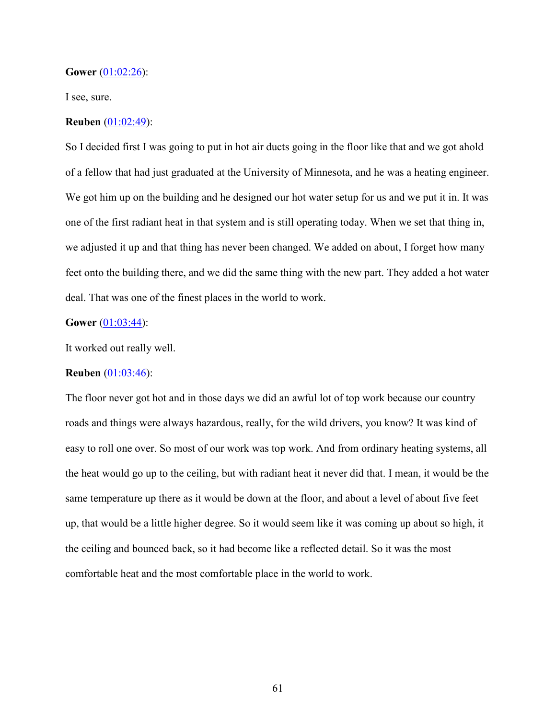#### **Gower** (01:02:26):

I see, sure.

## **Reuben** (01:02:49):

So I decided first I was going to put in hot air ducts going in the floor like that and we got ahold of a fellow that had just graduated at the University of Minnesota, and he was a heating engineer. We got him up on the building and he designed our hot water setup for us and we put it in. It was one of the first radiant heat in that system and is still operating today. When we set that thing in, we adjusted it up and that thing has never been changed. We added on about, I forget how many feet onto the building there, and we did the same thing with the new part. They added a hot water deal. That was one of the finest places in the world to work.

### **Gower** (01:03:44):

It worked out really well.

## **Reuben** (01:03:46):

The floor never got hot and in those days we did an awful lot of top work because our country roads and things were always hazardous, really, for the wild drivers, you know? It was kind of easy to roll one over. So most of our work was top work. And from ordinary heating systems, all the heat would go up to the ceiling, but with radiant heat it never did that. I mean, it would be the same temperature up there as it would be down at the floor, and about a level of about five feet up, that would be a little higher degree. So it would seem like it was coming up about so high, it the ceiling and bounced back, so it had become like a reflected detail. So it was the most comfortable heat and the most comfortable place in the world to work.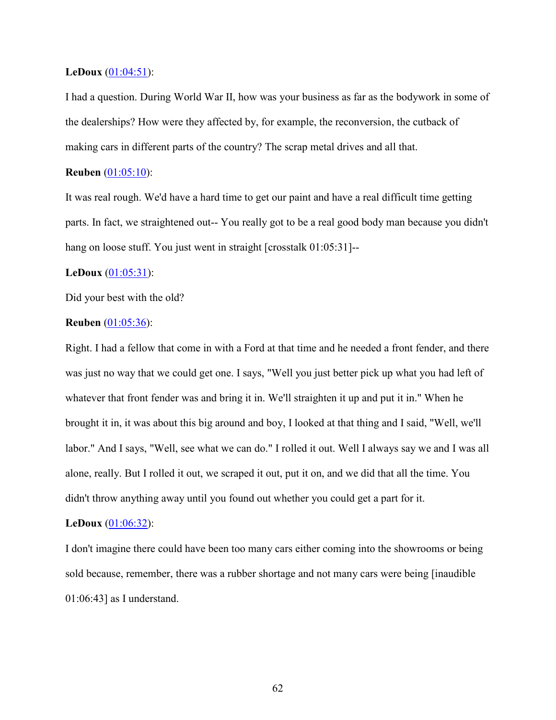### **LeDoux** (01:04:51):

I had a question. During World War II, how was your business as far as the bodywork in some of the dealerships? How were they affected by, for example, the reconversion, the cutback of making cars in different parts of the country? The scrap metal drives and all that.

## **Reuben** (01:05:10):

It was real rough. We'd have a hard time to get our paint and have a real difficult time getting parts. In fact, we straightened out-- You really got to be a real good body man because you didn't hang on loose stuff. You just went in straight [crosstalk 01:05:31]--

## **LeDoux** (01:05:31):

Did your best with the old?

### **Reuben** (01:05:36):

Right. I had a fellow that come in with a Ford at that time and he needed a front fender, and there was just no way that we could get one. I says, "Well you just better pick up what you had left of whatever that front fender was and bring it in. We'll straighten it up and put it in." When he brought it in, it was about this big around and boy, I looked at that thing and I said, "Well, we'll labor." And I says, "Well, see what we can do." I rolled it out. Well I always say we and I was all alone, really. But I rolled it out, we scraped it out, put it on, and we did that all the time. You didn't throw anything away until you found out whether you could get a part for it.

#### **LeDoux** (01:06:32):

I don't imagine there could have been too many cars either coming into the showrooms or being sold because, remember, there was a rubber shortage and not many cars were being [inaudible 01:06:43] as I understand.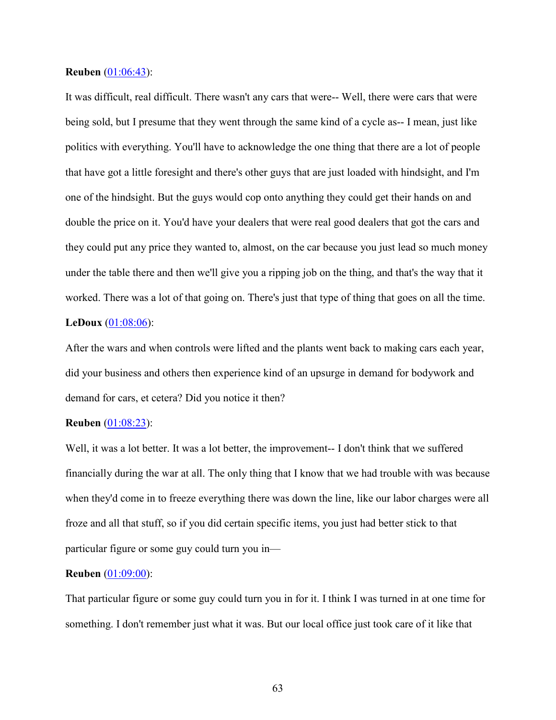### **Reuben** (01:06:43):

It was difficult, real difficult. There wasn't any cars that were-- Well, there were cars that were being sold, but I presume that they went through the same kind of a cycle as-- I mean, just like politics with everything. You'll have to acknowledge the one thing that there are a lot of people that have got a little foresight and there's other guys that are just loaded with hindsight, and I'm one of the hindsight. But the guys would cop onto anything they could get their hands on and double the price on it. You'd have your dealers that were real good dealers that got the cars and they could put any price they wanted to, almost, on the car because you just lead so much money under the table there and then we'll give you a ripping job on the thing, and that's the way that it worked. There was a lot of that going on. There's just that type of thing that goes on all the time. **LeDoux** (01:08:06):

After the wars and when controls were lifted and the plants went back to making cars each year, did your business and others then experience kind of an upsurge in demand for bodywork and demand for cars, et cetera? Did you notice it then?

### **Reuben** (01:08:23):

Well, it was a lot better. It was a lot better, the improvement-- I don't think that we suffered financially during the war at all. The only thing that I know that we had trouble with was because when they'd come in to freeze everything there was down the line, like our labor charges were all froze and all that stuff, so if you did certain specific items, you just had better stick to that particular figure or some guy could turn you in—

## **Reuben** (01:09:00):

That particular figure or some guy could turn you in for it. I think I was turned in at one time for something. I don't remember just what it was. But our local office just took care of it like that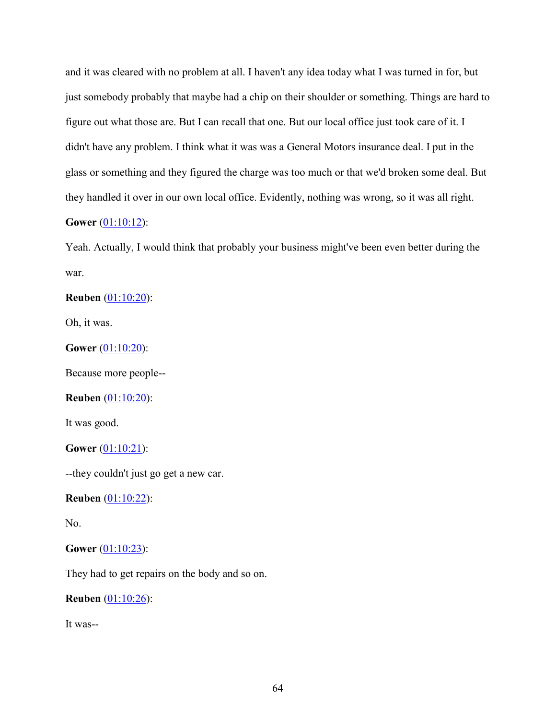and it was cleared with no problem at all. I haven't any idea today what I was turned in for, but just somebody probably that maybe had a chip on their shoulder or something. Things are hard to figure out what those are. But I can recall that one. But our local office just took care of it. I didn't have any problem. I think what it was was a General Motors insurance deal. I put in the glass or something and they figured the charge was too much or that we'd broken some deal. But they handled it over in our own local office. Evidently, nothing was wrong, so it was all right. **Gower** (01:10:12):

Yeah. Actually, I would think that probably your business might've been even better during the war.

**Reuben** (01:10:20):

Oh, it was.

**Gower** (01:10:20):

Because more people--

## **Reuben** (01:10:20):

It was good.

**Gower** (01:10:21):

--they couldn't just go get a new car.

**Reuben** (01:10:22):

No.

## **Gower** (01:10:23):

They had to get repairs on the body and so on.

**Reuben** (01:10:26):

It was--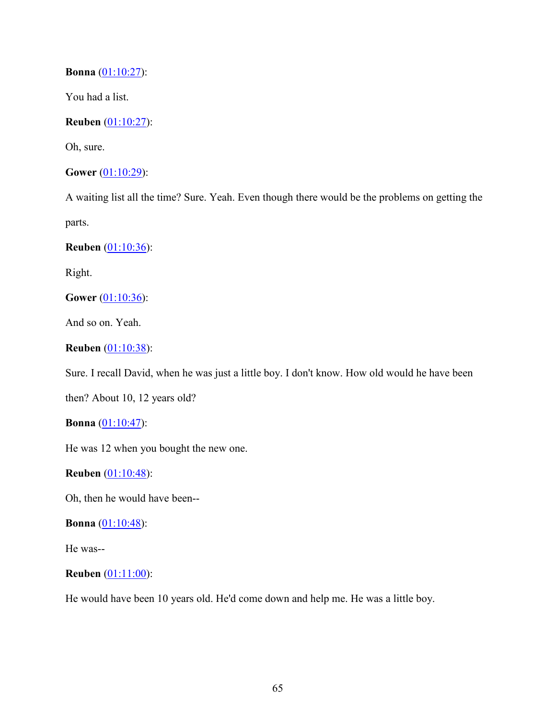**Bonna** (01:10:27):

You had a list.

**Reuben** (01:10:27):

Oh, sure.

**Gower** (01:10:29):

A waiting list all the time? Sure. Yeah. Even though there would be the problems on getting the parts.

**Reuben** (01:10:36):

Right.

**Gower** (01:10:36):

And so on. Yeah.

**Reuben** (01:10:38):

Sure. I recall David, when he was just a little boy. I don't know. How old would he have been

then? About 10, 12 years old?

**Bonna** (01:10:47):

He was 12 when you bought the new one.

**Reuben** (01:10:48):

Oh, then he would have been--

**Bonna** (01:10:48):

He was--

## **Reuben** (01:11:00):

He would have been 10 years old. He'd come down and help me. He was a little boy.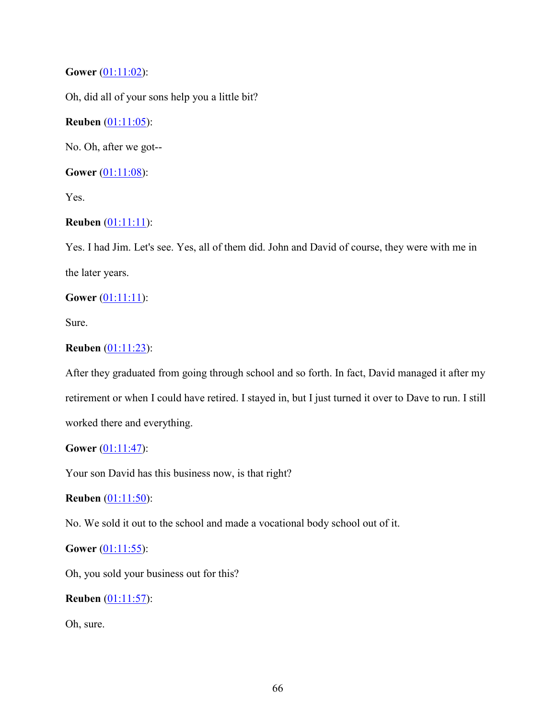# **Gower** (01:11:02):

Oh, did all of your sons help you a little bit?

# **Reuben** (01:11:05):

No. Oh, after we got--

**Gower** (01:11:08):

Yes.

## **Reuben** (01:11:11):

Yes. I had Jim. Let's see. Yes, all of them did. John and David of course, they were with me in the later years.

## **Gower** (01:11:11):

Sure.

## **Reuben** (01:11:23):

After they graduated from going through school and so forth. In fact, David managed it after my retirement or when I could have retired. I stayed in, but I just turned it over to Dave to run. I still worked there and everything.

## **Gower** (01:11:47):

Your son David has this business now, is that right?

## **Reuben** (01:11:50):

No. We sold it out to the school and made a vocational body school out of it.

## **Gower** (01:11:55):

Oh, you sold your business out for this?

**Reuben** (01:11:57):

Oh, sure.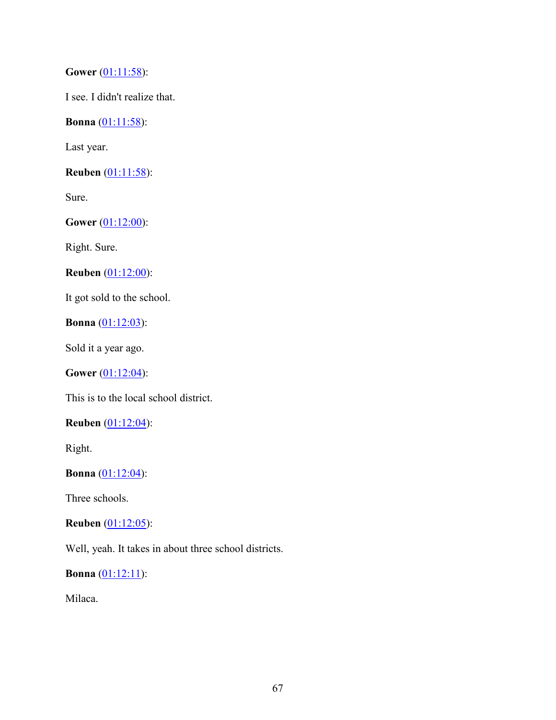**Gower** (01:11:58):

I see. I didn't realize that.

**Bonna** (01:11:58):

Last year.

**Reuben** (01:11:58):

Sure.

**Gower** (01:12:00):

Right. Sure.

**Reuben** (01:12:00):

It got sold to the school.

**Bonna** (01:12:03):

Sold it a year ago.

**Gower** (01:12:04):

This is to the local school district.

**Reuben** (01:12:04):

Right.

**Bonna** (01:12:04):

Three schools.

### **Reuben** (01:12:05):

Well, yeah. It takes in about three school districts.

**Bonna** (01:12:11):

Milaca.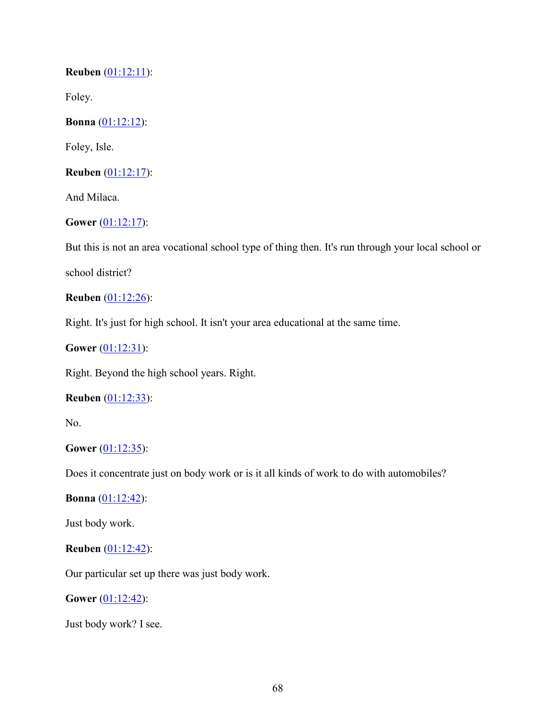**Reuben** (01:12:11):

Foley.

**Bonna** (01:12:12):

Foley, Isle.

**Reuben** (01:12:17):

And Milaca.

**Gower** (01:12:17):

But this is not an area vocational school type of thing then. It's run through your local school or

school district?

**Reuben** (01:12:26):

Right. It's just for high school. It isn't your area educational at the same time.

**Gower** (01:12:31):

Right. Beyond the high school years. Right.

## **Reuben** (01:12:33):

No.

## **Gower** (01:12:35):

Does it concentrate just on body work or is it all kinds of work to do with automobiles?

**Bonna** (01:12:42):

Just body work.

# **Reuben** (01:12:42):

Our particular set up there was just body work.

**Gower** (01:12:42):

Just body work? I see.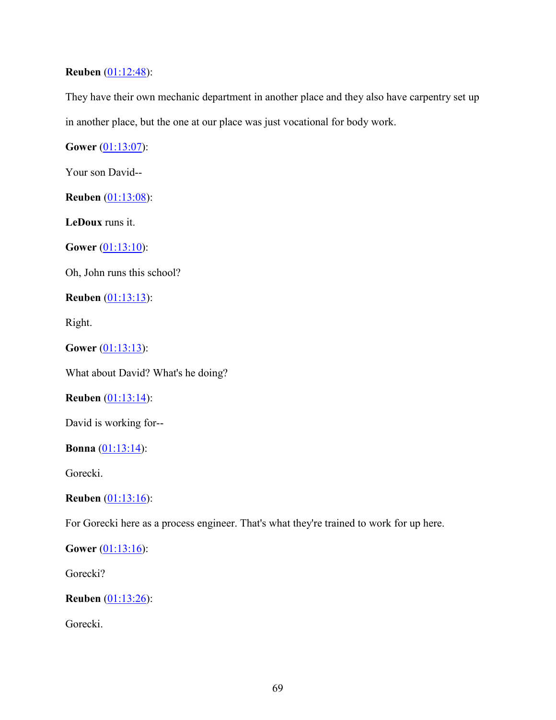## **Reuben** (01:12:48):

They have their own mechanic department in another place and they also have carpentry set up in another place, but the one at our place was just vocational for body work.

**Gower** (01:13:07):

Your son David--

**Reuben** (01:13:08):

**LeDoux** runs it.

**Gower** (01:13:10):

Oh, John runs this school?

**Reuben** (01:13:13):

Right.

**Gower** (01:13:13):

What about David? What's he doing?

**Reuben** (01:13:14):

David is working for--

**Bonna** (01:13:14):

Gorecki.

**Reuben** (01:13:16):

For Gorecki here as a process engineer. That's what they're trained to work for up here.

**Gower** (01:13:16):

Gorecki?

**Reuben** (01:13:26):

Gorecki.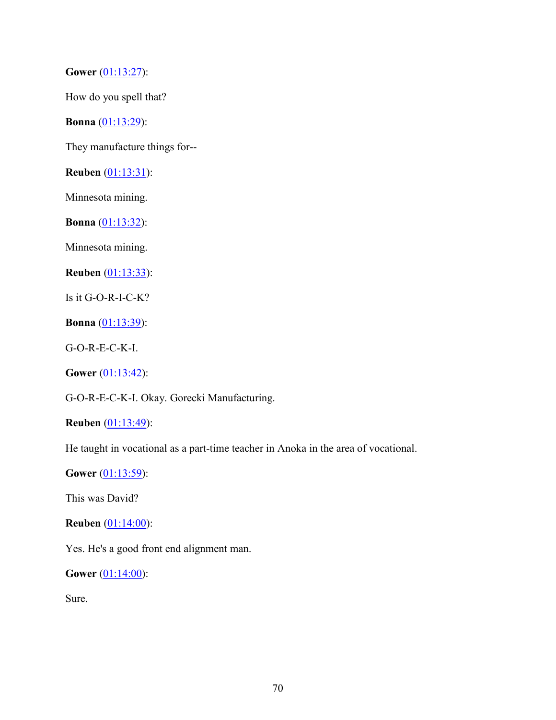**Gower** (01:13:27):

How do you spell that?

**Bonna** (01:13:29):

They manufacture things for--

**Reuben** (01:13:31):

Minnesota mining.

**Bonna** (01:13:32):

Minnesota mining.

**Reuben** (01:13:33):

Is it G-O-R-I-C-K?

**Bonna** (01:13:39):

G-O-R-E-C-K-I.

**Gower** (01:13:42):

G-O-R-E-C-K-I. Okay. Gorecki Manufacturing.

**Reuben** (01:13:49):

He taught in vocational as a part-time teacher in Anoka in the area of vocational.

**Gower** (01:13:59):

This was David?

**Reuben** (01:14:00):

Yes. He's a good front end alignment man.

**Gower** (01:14:00):

Sure.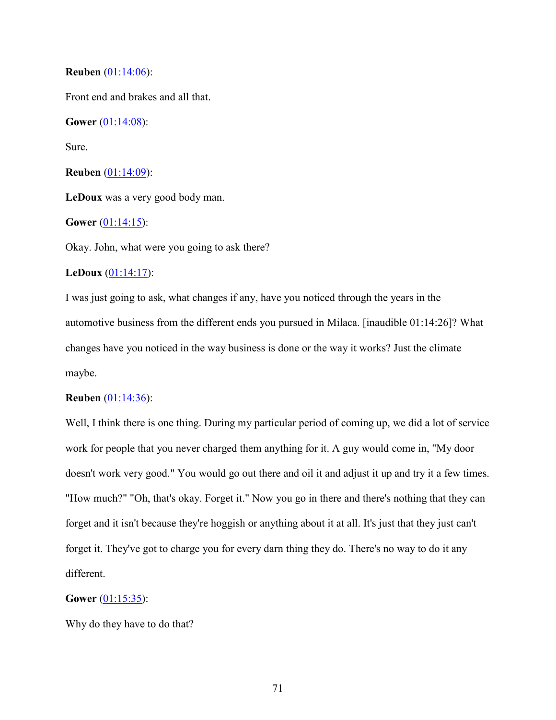## **Reuben** (01:14:06):

Front end and brakes and all that.

**Gower** (01:14:08):

Sure.

**Reuben** (01:14:09):

**LeDoux** was a very good body man.

## **Gower** (01:14:15):

Okay. John, what were you going to ask there?

## **LeDoux** (01:14:17):

I was just going to ask, what changes if any, have you noticed through the years in the automotive business from the different ends you pursued in Milaca. [inaudible 01:14:26]? What changes have you noticed in the way business is done or the way it works? Just the climate maybe.

## **Reuben** (01:14:36):

Well, I think there is one thing. During my particular period of coming up, we did a lot of service work for people that you never charged them anything for it. A guy would come in, "My door doesn't work very good." You would go out there and oil it and adjust it up and try it a few times. "How much?" "Oh, that's okay. Forget it." Now you go in there and there's nothing that they can forget and it isn't because they're hoggish or anything about it at all. It's just that they just can't forget it. They've got to charge you for every darn thing they do. There's no way to do it any different.

## **Gower** (01:15:35):

Why do they have to do that?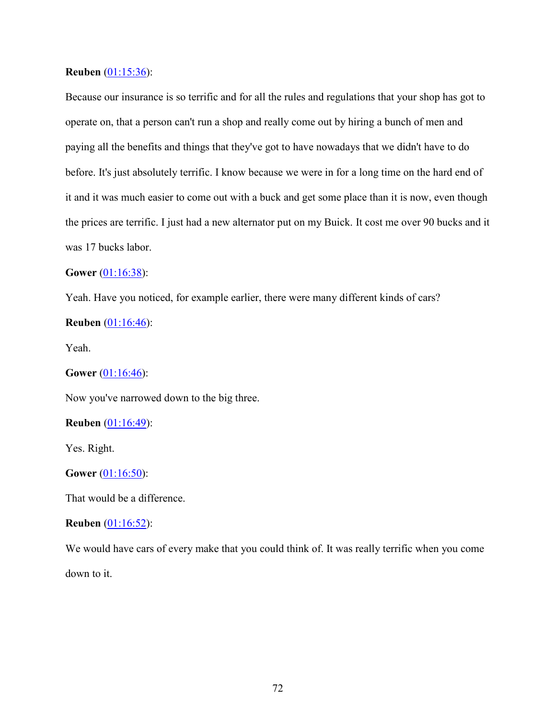#### **Reuben** (01:15:36):

Because our insurance is so terrific and for all the rules and regulations that your shop has got to operate on, that a person can't run a shop and really come out by hiring a bunch of men and paying all the benefits and things that they've got to have nowadays that we didn't have to do before. It's just absolutely terrific. I know because we were in for a long time on the hard end of it and it was much easier to come out with a buck and get some place than it is now, even though the prices are terrific. I just had a new alternator put on my Buick. It cost me over 90 bucks and it was 17 bucks labor.

### **Gower** (01:16:38):

Yeah. Have you noticed, for example earlier, there were many different kinds of cars?

### **Reuben** (01:16:46):

Yeah.

## **Gower** (01:16:46):

Now you've narrowed down to the big three.

#### **Reuben** (01:16:49):

Yes. Right.

#### **Gower** (01:16:50):

That would be a difference.

#### **Reuben** (01:16:52):

We would have cars of every make that you could think of. It was really terrific when you come down to it.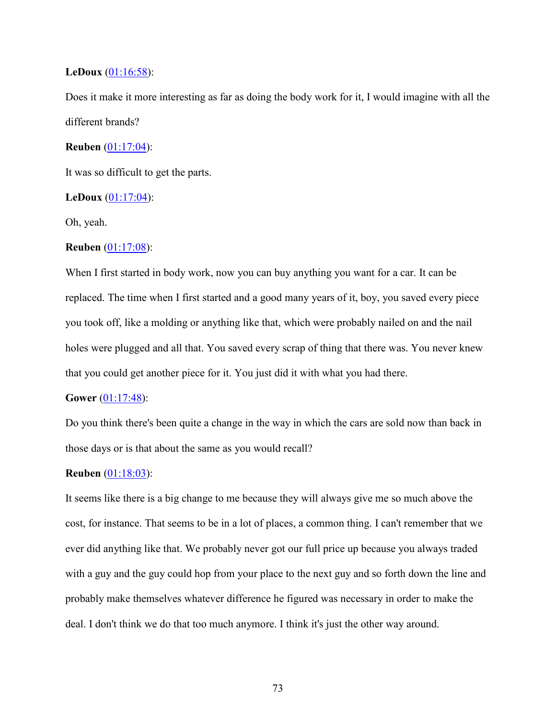#### **LeDoux** (01:16:58):

Does it make it more interesting as far as doing the body work for it, I would imagine with all the different brands?

### **Reuben** (01:17:04):

It was so difficult to get the parts.

#### **LeDoux** (01:17:04):

Oh, yeah.

#### **Reuben** (01:17:08):

When I first started in body work, now you can buy anything you want for a car. It can be replaced. The time when I first started and a good many years of it, boy, you saved every piece you took off, like a molding or anything like that, which were probably nailed on and the nail holes were plugged and all that. You saved every scrap of thing that there was. You never knew that you could get another piece for it. You just did it with what you had there.

#### **Gower** (01:17:48):

Do you think there's been quite a change in the way in which the cars are sold now than back in those days or is that about the same as you would recall?

#### **Reuben** (01:18:03):

It seems like there is a big change to me because they will always give me so much above the cost, for instance. That seems to be in a lot of places, a common thing. I can't remember that we ever did anything like that. We probably never got our full price up because you always traded with a guy and the guy could hop from your place to the next guy and so forth down the line and probably make themselves whatever difference he figured was necessary in order to make the deal. I don't think we do that too much anymore. I think it's just the other way around.

73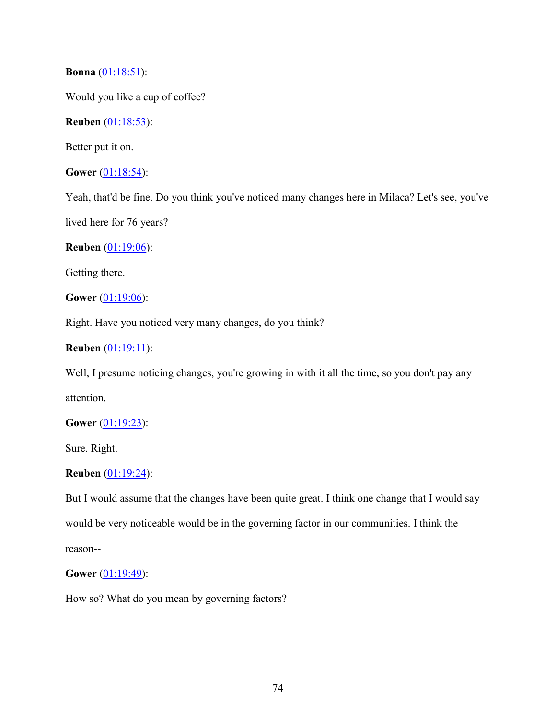### **Bonna** (01:18:51):

Would you like a cup of coffee?

## **Reuben** (01:18:53):

Better put it on.

## **Gower** (01:18:54):

Yeah, that'd be fine. Do you think you've noticed many changes here in Milaca? Let's see, you've

lived here for 76 years?

## **Reuben** (01:19:06):

Getting there.

**Gower** (01:19:06):

Right. Have you noticed very many changes, do you think?

## **Reuben** (01:19:11):

Well, I presume noticing changes, you're growing in with it all the time, so you don't pay any attention.

### **Gower** (01:19:23):

Sure. Right.

### **Reuben** (01:19:24):

But I would assume that the changes have been quite great. I think one change that I would say would be very noticeable would be in the governing factor in our communities. I think the reason--

### **Gower** (01:19:49):

How so? What do you mean by governing factors?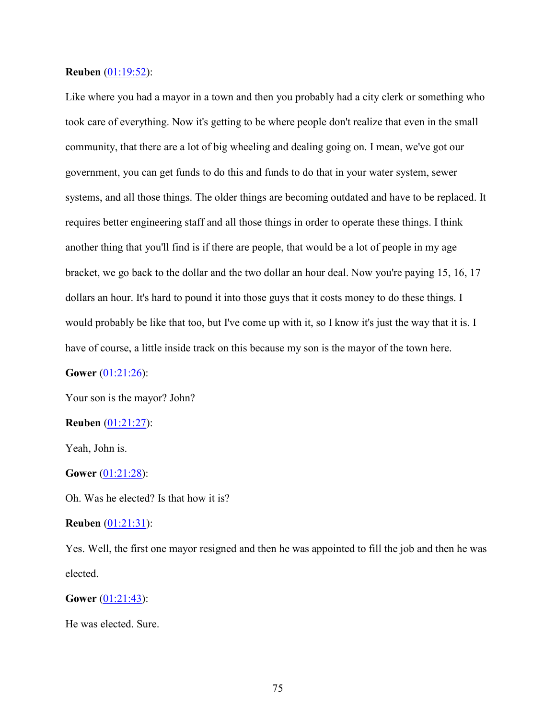#### **Reuben** (01:19:52):

Like where you had a mayor in a town and then you probably had a city clerk or something who took care of everything. Now it's getting to be where people don't realize that even in the small community, that there are a lot of big wheeling and dealing going on. I mean, we've got our government, you can get funds to do this and funds to do that in your water system, sewer systems, and all those things. The older things are becoming outdated and have to be replaced. It requires better engineering staff and all those things in order to operate these things. I think another thing that you'll find is if there are people, that would be a lot of people in my age bracket, we go back to the dollar and the two dollar an hour deal. Now you're paying 15, 16, 17 dollars an hour. It's hard to pound it into those guys that it costs money to do these things. I would probably be like that too, but I've come up with it, so I know it's just the way that it is. I have of course, a little inside track on this because my son is the mayor of the town here.

**Gower** (01:21:26):

Your son is the mayor? John?

### **Reuben** (01:21:27):

Yeah, John is.

#### **Gower** (01:21:28):

Oh. Was he elected? Is that how it is?

#### **Reuben** (01:21:31):

Yes. Well, the first one mayor resigned and then he was appointed to fill the job and then he was elected.

**Gower** (01:21:43):

He was elected. Sure.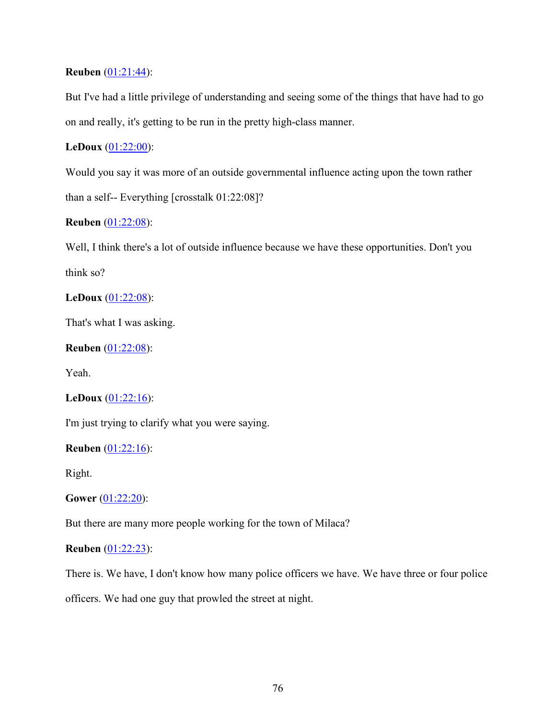## **Reuben** (01:21:44):

But I've had a little privilege of understanding and seeing some of the things that have had to go on and really, it's getting to be run in the pretty high-class manner.

## **LeDoux** (01:22:00):

Would you say it was more of an outside governmental influence acting upon the town rather than a self-- Everything [crosstalk 01:22:08]?

## **Reuben** (01:22:08):

Well, I think there's a lot of outside influence because we have these opportunities. Don't you think so?

## **LeDoux** (01:22:08):

That's what I was asking.

## **Reuben** (01:22:08):

Yeah.

## **LeDoux** (01:22:16):

I'm just trying to clarify what you were saying.

### **Reuben** (01:22:16):

Right.

### **Gower** (01:22:20):

But there are many more people working for the town of Milaca?

## **Reuben** (01:22:23):

There is. We have, I don't know how many police officers we have. We have three or four police

officers. We had one guy that prowled the street at night.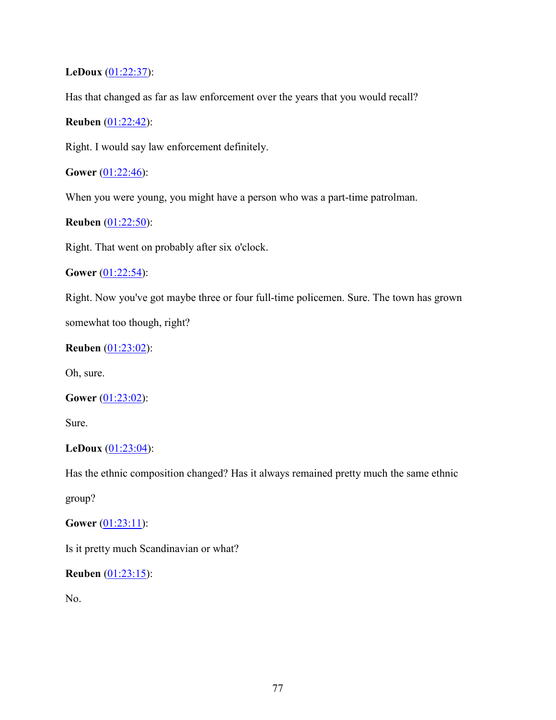## **LeDoux** (01:22:37):

Has that changed as far as law enforcement over the years that you would recall?

## **Reuben** (01:22:42):

Right. I would say law enforcement definitely.

**Gower** (01:22:46):

When you were young, you might have a person who was a part-time patrolman.

## **Reuben** (01:22:50):

Right. That went on probably after six o'clock.

### **Gower** (01:22:54):

Right. Now you've got maybe three or four full-time policemen. Sure. The town has grown

somewhat too though, right?

## **Reuben** (01:23:02):

Oh, sure.

## **Gower** (01:23:02):

Sure.

### **LeDoux** (01:23:04):

Has the ethnic composition changed? Has it always remained pretty much the same ethnic

group?

## **Gower** (01:23:11):

Is it pretty much Scandinavian or what?

### **Reuben** (01:23:15):

No.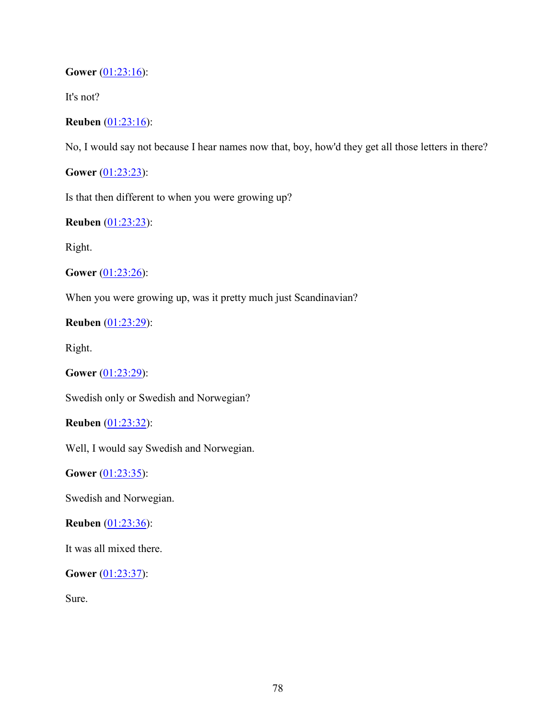**Gower** (01:23:16):

It's not?

**Reuben** (01:23:16):

No, I would say not because I hear names now that, boy, how'd they get all those letters in there?

**Gower** (01:23:23):

Is that then different to when you were growing up?

**Reuben** (01:23:23):

Right.

**Gower** (01:23:26):

When you were growing up, was it pretty much just Scandinavian?

**Reuben** (01:23:29):

Right.

**Gower** (01:23:29):

Swedish only or Swedish and Norwegian?

**Reuben** (01:23:32):

Well, I would say Swedish and Norwegian.

**Gower** (01:23:35):

Swedish and Norwegian.

**Reuben** (01:23:36):

It was all mixed there.

**Gower** (01:23:37):

Sure.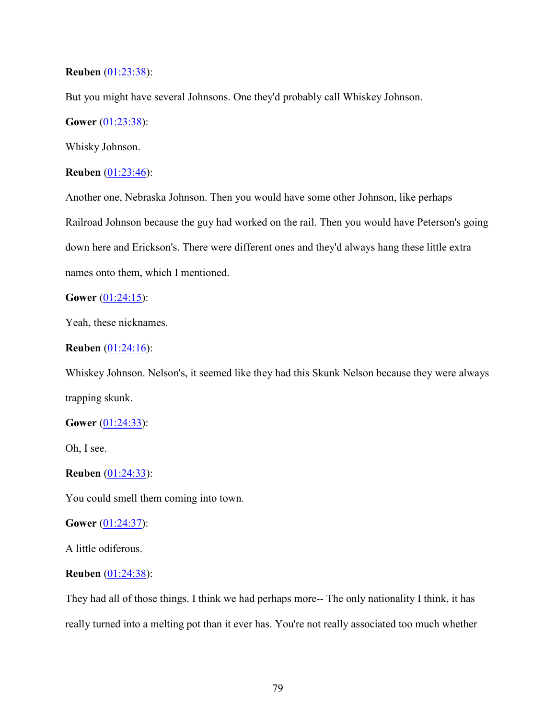### **Reuben** (01:23:38):

But you might have several Johnsons. One they'd probably call Whiskey Johnson.

## **Gower** (01:23:38):

Whisky Johnson.

### **Reuben** (01:23:46):

Another one, Nebraska Johnson. Then you would have some other Johnson, like perhaps Railroad Johnson because the guy had worked on the rail. Then you would have Peterson's going down here and Erickson's. There were different ones and they'd always hang these little extra names onto them, which I mentioned.

#### **Gower** (01:24:15):

Yeah, these nicknames.

#### **Reuben** (01:24:16):

Whiskey Johnson. Nelson's, it seemed like they had this Skunk Nelson because they were always trapping skunk.

#### **Gower** (01:24:33):

Oh, I see.

#### **Reuben** (01:24:33):

You could smell them coming into town.

#### **Gower** (01:24:37):

A little odiferous.

#### **Reuben** (01:24:38):

They had all of those things. I think we had perhaps more-- The only nationality I think, it has really turned into a melting pot than it ever has. You're not really associated too much whether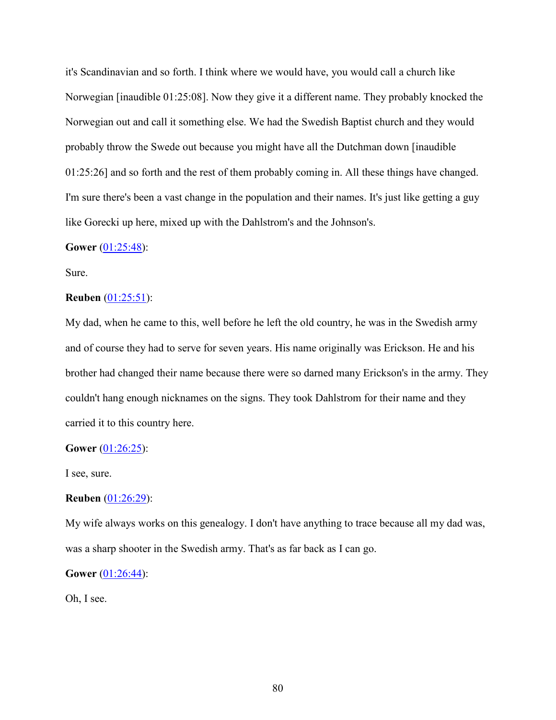it's Scandinavian and so forth. I think where we would have, you would call a church like Norwegian [inaudible 01:25:08]. Now they give it a different name. They probably knocked the Norwegian out and call it something else. We had the Swedish Baptist church and they would probably throw the Swede out because you might have all the Dutchman down [inaudible 01:25:26] and so forth and the rest of them probably coming in. All these things have changed. I'm sure there's been a vast change in the population and their names. It's just like getting a guy like Gorecki up here, mixed up with the Dahlstrom's and the Johnson's.

#### **Gower** (01:25:48):

Sure.

#### **Reuben** (01:25:51):

My dad, when he came to this, well before he left the old country, he was in the Swedish army and of course they had to serve for seven years. His name originally was Erickson. He and his brother had changed their name because there were so darned many Erickson's in the army. They couldn't hang enough nicknames on the signs. They took Dahlstrom for their name and they carried it to this country here.

#### **Gower** (01:26:25):

I see, sure.

#### **Reuben** (01:26:29):

My wife always works on this genealogy. I don't have anything to trace because all my dad was, was a sharp shooter in the Swedish army. That's as far back as I can go.

### **Gower** (01:26:44):

Oh, I see.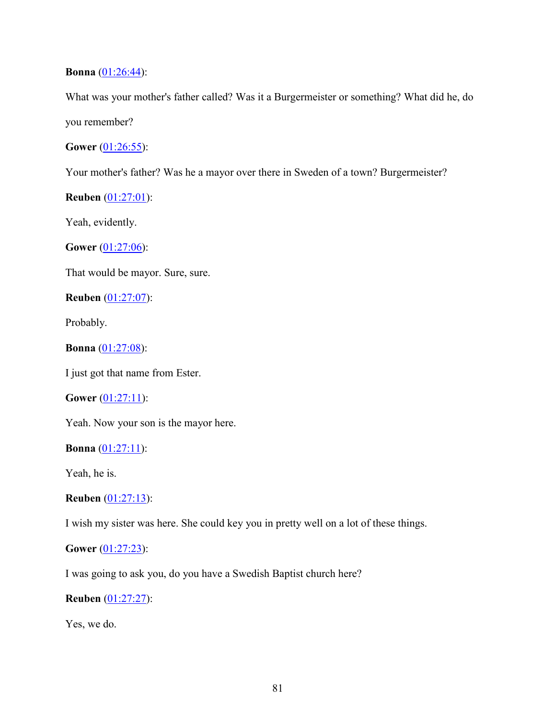#### **Bonna** (01:26:44):

What was your mother's father called? Was it a Burgermeister or something? What did he, do you remember?

**Gower** (01:26:55):

Your mother's father? Was he a mayor over there in Sweden of a town? Burgermeister?

**Reuben** (01:27:01):

Yeah, evidently.

**Gower** (01:27:06):

That would be mayor. Sure, sure.

**Reuben** (01:27:07):

Probably.

**Bonna** (01:27:08):

I just got that name from Ester.

### **Gower** (01:27:11):

Yeah. Now your son is the mayor here.

**Bonna** (01:27:11):

Yeah, he is.

**Reuben** (01:27:13):

I wish my sister was here. She could key you in pretty well on a lot of these things.

# **Gower** (01:27:23):

I was going to ask you, do you have a Swedish Baptist church here?

#### **Reuben** (01:27:27):

Yes, we do.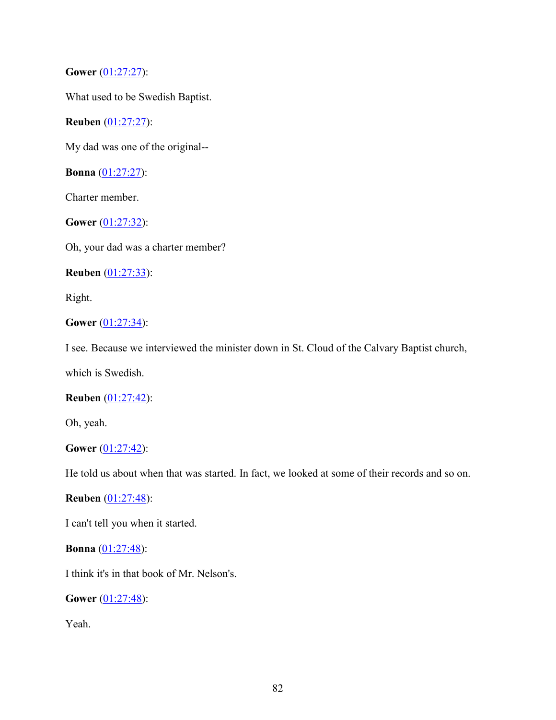**Gower** (01:27:27):

What used to be Swedish Baptist.

**Reuben** (01:27:27):

My dad was one of the original--

**Bonna** (01:27:27):

Charter member.

**Gower** (01:27:32):

Oh, your dad was a charter member?

**Reuben** (01:27:33):

Right.

# **Gower** (01:27:34):

I see. Because we interviewed the minister down in St. Cloud of the Calvary Baptist church,

which is Swedish.

## **Reuben** (01:27:42):

Oh, yeah.

### **Gower** (01:27:42):

He told us about when that was started. In fact, we looked at some of their records and so on.

**Reuben** (01:27:48):

I can't tell you when it started.

**Bonna** (01:27:48):

I think it's in that book of Mr. Nelson's.

**Gower** (01:27:48):

Yeah.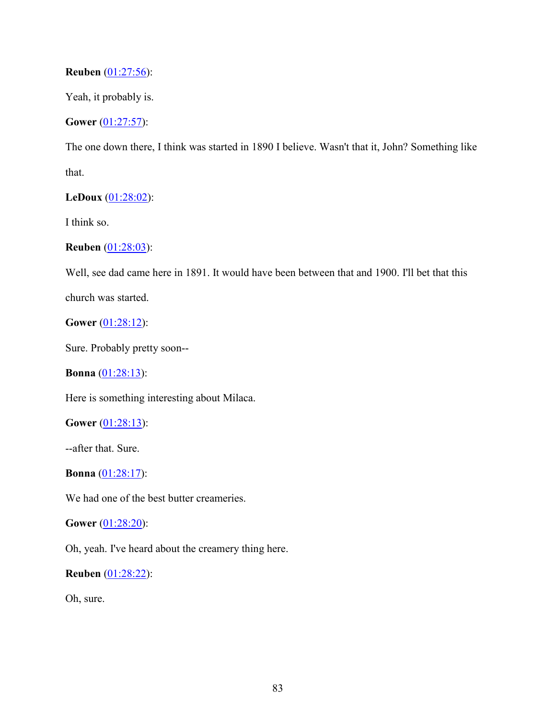## **Reuben** (01:27:56):

Yeah, it probably is.

## **Gower** (01:27:57):

The one down there, I think was started in 1890 I believe. Wasn't that it, John? Something like that.

## **LeDoux** (01:28:02):

I think so.

## **Reuben** (01:28:03):

Well, see dad came here in 1891. It would have been between that and 1900. I'll bet that this

church was started.

**Gower** (01:28:12):

Sure. Probably pretty soon--

**Bonna** (01:28:13):

Here is something interesting about Milaca.

**Gower** (01:28:13):

--after that. Sure.

```
Bonna (01:28:17):
```
We had one of the best butter creameries.

**Gower** (01:28:20):

Oh, yeah. I've heard about the creamery thing here.

**Reuben** (01:28:22):

Oh, sure.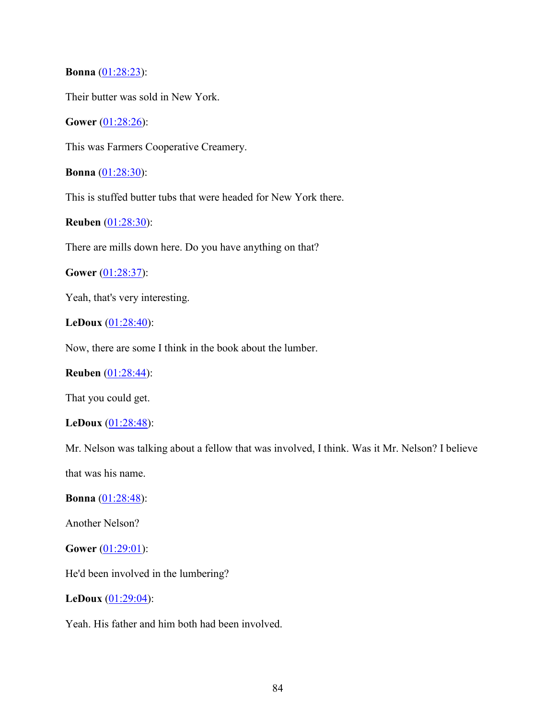**Bonna** (01:28:23):

Their butter was sold in New York.

**Gower** (01:28:26):

This was Farmers Cooperative Creamery.

**Bonna** (01:28:30):

This is stuffed butter tubs that were headed for New York there.

**Reuben** (01:28:30):

There are mills down here. Do you have anything on that?

**Gower** (01:28:37):

Yeah, that's very interesting.

**LeDoux** (01:28:40):

Now, there are some I think in the book about the lumber.

### **Reuben** (01:28:44):

That you could get.

#### **LeDoux** (01:28:48):

Mr. Nelson was talking about a fellow that was involved, I think. Was it Mr. Nelson? I believe

that was his name.

**Bonna** (01:28:48):

Another Nelson?

**Gower** (01:29:01):

He'd been involved in the lumbering?

**LeDoux** (01:29:04):

Yeah. His father and him both had been involved.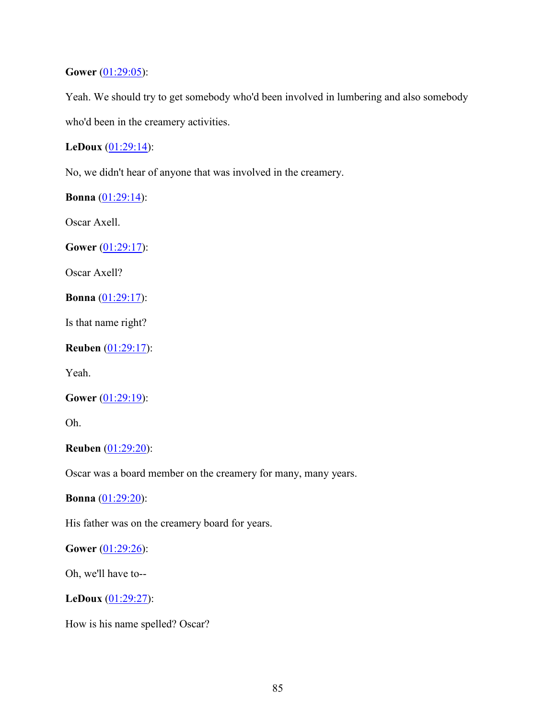## **Gower** (01:29:05):

Yeah. We should try to get somebody who'd been involved in lumbering and also somebody who'd been in the creamery activities.

# **LeDoux** (01:29:14):

No, we didn't hear of anyone that was involved in the creamery.

**Bonna** (01:29:14):

Oscar Axell.

**Gower** (01:29:17):

Oscar Axell?

**Bonna** (01:29:17):

Is that name right?

**Reuben** (01:29:17):

Yeah.

```
Gower (01:29:19):
```
Oh.

**Reuben** (01:29:20):

Oscar was a board member on the creamery for many, many years.

**Bonna** (01:29:20):

His father was on the creamery board for years.

**Gower** (01:29:26):

Oh, we'll have to--

**LeDoux** (01:29:27):

How is his name spelled? Oscar?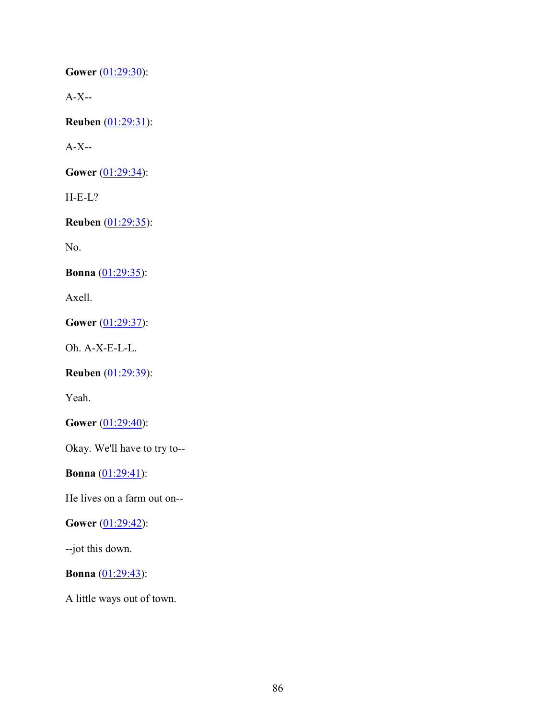**Gower** (01:29:30):

A-X--

**Reuben** (01:29:31):

A-X--

**Gower** (01:29:34):

H-E-L?

**Reuben** (01:29:35):

No.

**Bonna** (01:29:35):

Axell.

**Gower** (01:29:37):

Oh. A-X-E-L-L.

**Reuben** (01:29:39):

Yeah.

**Gower** (01:29:40):

Okay. We'll have to try to--

**Bonna** (01:29:41):

He lives on a farm out on--

**Gower** (01:29:42):

--jot this down.

**Bonna** (01:29:43):

A little ways out of town.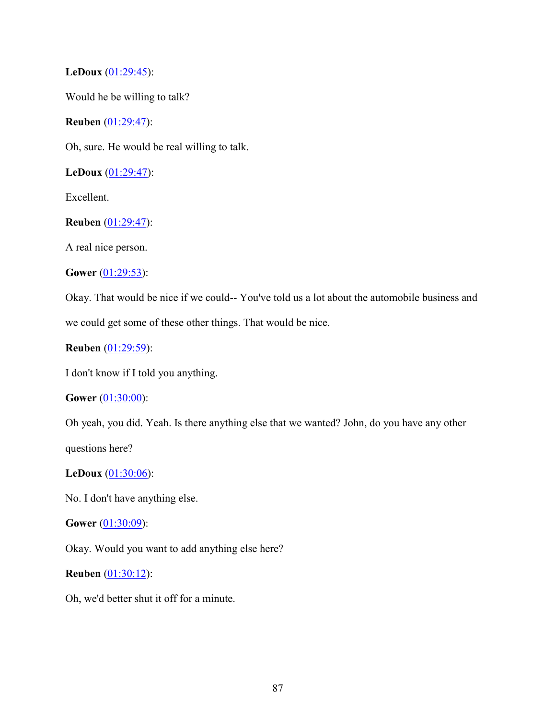## **LeDoux** (01:29:45):

Would he be willing to talk?

**Reuben** (01:29:47):

Oh, sure. He would be real willing to talk.

**LeDoux** (01:29:47):

Excellent.

## **Reuben** (01:29:47):

A real nice person.

**Gower** (01:29:53):

Okay. That would be nice if we could-- You've told us a lot about the automobile business and we could get some of these other things. That would be nice.

```
Reuben (01:29:59):
```
I don't know if I told you anything.

### **Gower** (01:30:00):

Oh yeah, you did. Yeah. Is there anything else that we wanted? John, do you have any other

questions here?

### **LeDoux** (01:30:06):

No. I don't have anything else.

### **Gower** (01:30:09):

Okay. Would you want to add anything else here?

### **Reuben** (01:30:12):

Oh, we'd better shut it off for a minute.